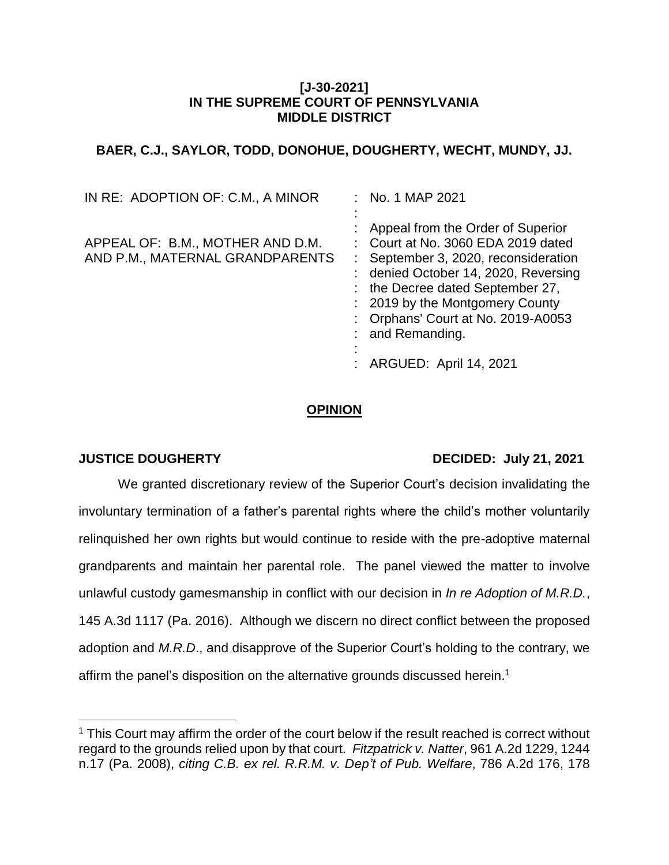#### **[J-30-2021] IN THE SUPREME COURT OF PENNSYLVANIA MIDDLE DISTRICT**

# **BAER, C.J., SAYLOR, TODD, DONOHUE, DOUGHERTY, WECHT, MUNDY, JJ.**

| IN RE: ADOPTION OF: C.M., A MINOR                                   | $:$ No. 1 MAP 2021                                                                                                                                                                                                                                                                                                 |
|---------------------------------------------------------------------|--------------------------------------------------------------------------------------------------------------------------------------------------------------------------------------------------------------------------------------------------------------------------------------------------------------------|
| APPEAL OF: B.M., MOTHER AND D.M.<br>AND P.M., MATERNAL GRANDPARENTS | Appeal from the Order of Superior<br>: Court at No. 3060 EDA 2019 dated<br>: September 3, 2020, reconsideration<br>: denied October 14, 2020, Reversing<br>: the Decree dated September 27,<br>: 2019 by the Montgomery County<br>: Orphans' Court at No. 2019-A0053<br>: and Remanding.<br>ARGUED: April 14, 2021 |
|                                                                     |                                                                                                                                                                                                                                                                                                                    |

## **OPINION**

 $\overline{a}$ 

## **JUSTICE DOUGHERTY DECIDED: July 21, 2021**

We granted discretionary review of the Superior Court's decision invalidating the involuntary termination of a father's parental rights where the child's mother voluntarily relinquished her own rights but would continue to reside with the pre-adoptive maternal grandparents and maintain her parental role. The panel viewed the matter to involve unlawful custody gamesmanship in conflict with our decision in *In re Adoption of M.R.D.*, 145 A.3d 1117 (Pa. 2016). Although we discern no direct conflict between the proposed adoption and *M.R.D*., and disapprove of the Superior Court's holding to the contrary, we affirm the panel's disposition on the alternative grounds discussed herein. 1

 $1$  This Court may affirm the order of the court below if the result reached is correct without regard to the grounds relied upon by that court. *Fitzpatrick v. Natter*, 961 A.2d 1229, 1244 n.17 (Pa. 2008), *citing C.B. ex rel. R.R.M. v. Dep't of Pub. Welfare*, 786 A.2d 176, 178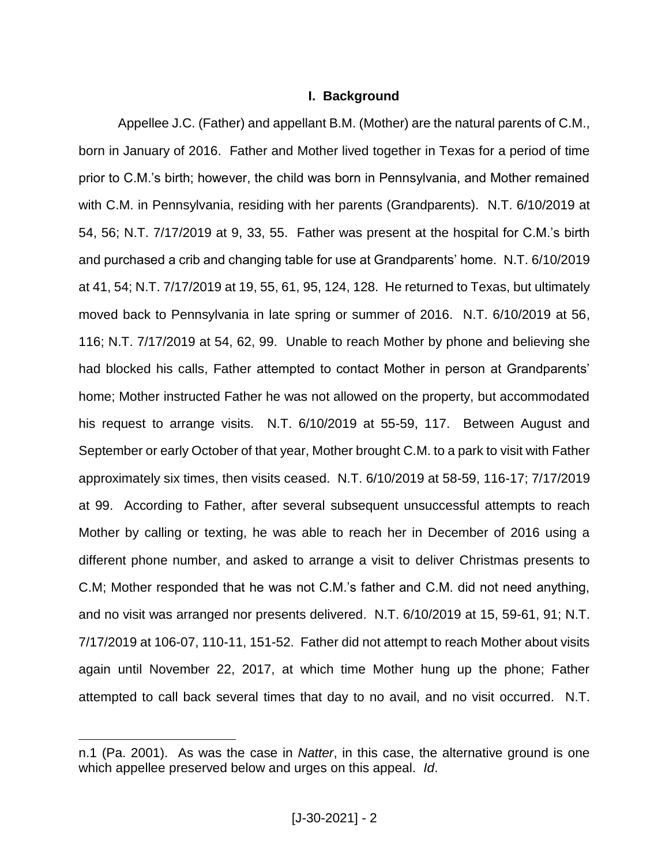#### **I. Background**

Appellee J.C. (Father) and appellant B.M. (Mother) are the natural parents of C.M., born in January of 2016. Father and Mother lived together in Texas for a period of time prior to C.M.'s birth; however, the child was born in Pennsylvania, and Mother remained with C.M. in Pennsylvania, residing with her parents (Grandparents). N.T. 6/10/2019 at 54, 56; N.T. 7/17/2019 at 9, 33, 55. Father was present at the hospital for C.M.'s birth and purchased a crib and changing table for use at Grandparents' home. N.T. 6/10/2019 at 41, 54; N.T. 7/17/2019 at 19, 55, 61, 95, 124, 128. He returned to Texas, but ultimately moved back to Pennsylvania in late spring or summer of 2016. N.T. 6/10/2019 at 56, 116; N.T. 7/17/2019 at 54, 62, 99. Unable to reach Mother by phone and believing she had blocked his calls, Father attempted to contact Mother in person at Grandparents' home; Mother instructed Father he was not allowed on the property, but accommodated his request to arrange visits. N.T. 6/10/2019 at 55-59, 117. Between August and September or early October of that year, Mother brought C.M. to a park to visit with Father approximately six times, then visits ceased. N.T. 6/10/2019 at 58-59, 116-17; 7/17/2019 at 99. According to Father, after several subsequent unsuccessful attempts to reach Mother by calling or texting, he was able to reach her in December of 2016 using a different phone number, and asked to arrange a visit to deliver Christmas presents to C.M; Mother responded that he was not C.M.'s father and C.M. did not need anything, and no visit was arranged nor presents delivered. N.T. 6/10/2019 at 15, 59-61, 91; N.T. 7/17/2019 at 106-07, 110-11, 151-52. Father did not attempt to reach Mother about visits again until November 22, 2017, at which time Mother hung up the phone; Father attempted to call back several times that day to no avail, and no visit occurred. N.T.

n.1 (Pa. 2001). As was the case in *Natter*, in this case, the alternative ground is one which appellee preserved below and urges on this appeal. *Id*.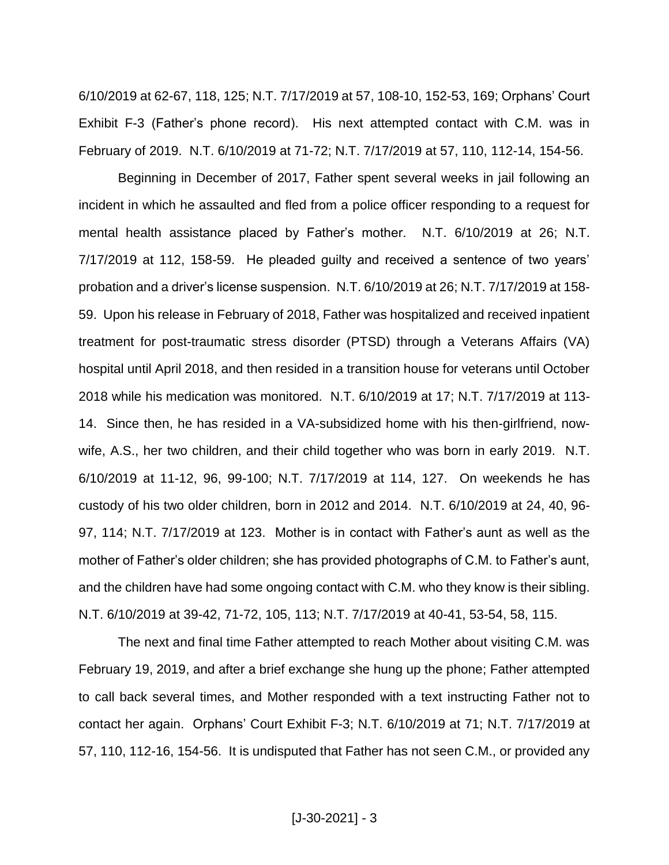6/10/2019 at 62-67, 118, 125; N.T. 7/17/2019 at 57, 108-10, 152-53, 169; Orphans' Court Exhibit F-3 (Father's phone record). His next attempted contact with C.M. was in February of 2019. N.T. 6/10/2019 at 71-72; N.T. 7/17/2019 at 57, 110, 112-14, 154-56.

Beginning in December of 2017, Father spent several weeks in jail following an incident in which he assaulted and fled from a police officer responding to a request for mental health assistance placed by Father's mother. N.T. 6/10/2019 at 26; N.T. 7/17/2019 at 112, 158-59. He pleaded guilty and received a sentence of two years' probation and a driver's license suspension. N.T. 6/10/2019 at 26; N.T. 7/17/2019 at 158- 59. Upon his release in February of 2018, Father was hospitalized and received inpatient treatment for post-traumatic stress disorder (PTSD) through a Veterans Affairs (VA) hospital until April 2018, and then resided in a transition house for veterans until October 2018 while his medication was monitored. N.T. 6/10/2019 at 17; N.T. 7/17/2019 at 113- 14. Since then, he has resided in a VA-subsidized home with his then-girlfriend, nowwife, A.S., her two children, and their child together who was born in early 2019. N.T. 6/10/2019 at 11-12, 96, 99-100; N.T. 7/17/2019 at 114, 127. On weekends he has custody of his two older children, born in 2012 and 2014. N.T. 6/10/2019 at 24, 40, 96- 97, 114; N.T. 7/17/2019 at 123. Mother is in contact with Father's aunt as well as the mother of Father's older children; she has provided photographs of C.M. to Father's aunt, and the children have had some ongoing contact with C.M. who they know is their sibling. N.T. 6/10/2019 at 39-42, 71-72, 105, 113; N.T. 7/17/2019 at 40-41, 53-54, 58, 115.

The next and final time Father attempted to reach Mother about visiting C.M. was February 19, 2019, and after a brief exchange she hung up the phone; Father attempted to call back several times, and Mother responded with a text instructing Father not to contact her again. Orphans' Court Exhibit F-3; N.T. 6/10/2019 at 71; N.T. 7/17/2019 at 57, 110, 112-16, 154-56. It is undisputed that Father has not seen C.M., or provided any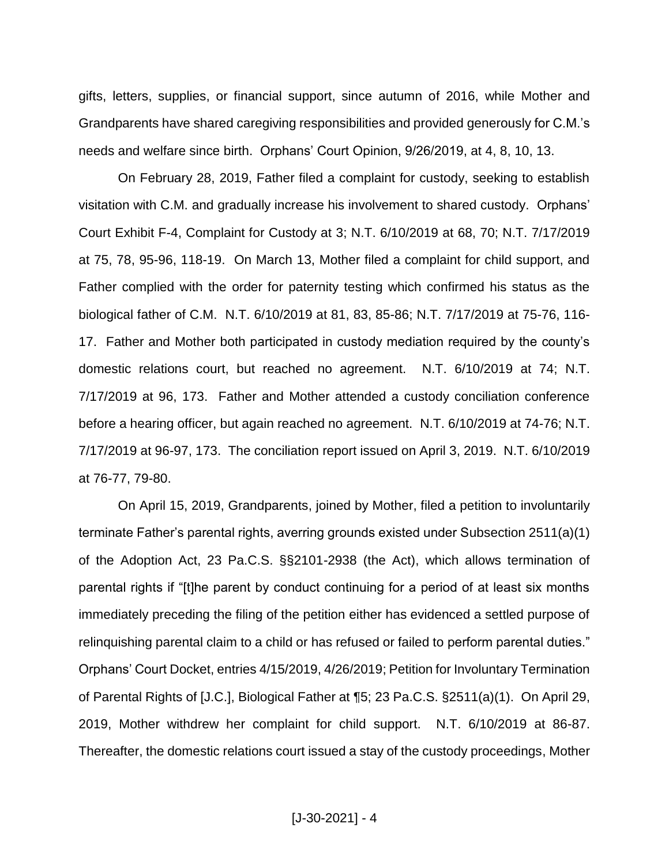gifts, letters, supplies, or financial support, since autumn of 2016, while Mother and Grandparents have shared caregiving responsibilities and provided generously for C.M.'s needs and welfare since birth. Orphans' Court Opinion, 9/26/2019, at 4, 8, 10, 13.

On February 28, 2019, Father filed a complaint for custody, seeking to establish visitation with C.M. and gradually increase his involvement to shared custody. Orphans' Court Exhibit F-4, Complaint for Custody at 3; N.T. 6/10/2019 at 68, 70; N.T. 7/17/2019 at 75, 78, 95-96, 118-19. On March 13, Mother filed a complaint for child support, and Father complied with the order for paternity testing which confirmed his status as the biological father of C.M. N.T. 6/10/2019 at 81, 83, 85-86; N.T. 7/17/2019 at 75-76, 116- 17. Father and Mother both participated in custody mediation required by the county's domestic relations court, but reached no agreement. N.T. 6/10/2019 at 74; N.T. 7/17/2019 at 96, 173. Father and Mother attended a custody conciliation conference before a hearing officer, but again reached no agreement. N.T. 6/10/2019 at 74-76; N.T. 7/17/2019 at 96-97, 173. The conciliation report issued on April 3, 2019. N.T. 6/10/2019 at 76-77, 79-80.

On April 15, 2019, Grandparents, joined by Mother, filed a petition to involuntarily terminate Father's parental rights, averring grounds existed under Subsection 2511(a)(1) of the Adoption Act, 23 Pa.C.S. §§2101-2938 (the Act), which allows termination of parental rights if "[t]he parent by conduct continuing for a period of at least six months immediately preceding the filing of the petition either has evidenced a settled purpose of relinquishing parental claim to a child or has refused or failed to perform parental duties." Orphans' Court Docket, entries 4/15/2019, 4/26/2019; Petition for Involuntary Termination of Parental Rights of [J.C.], Biological Father at ¶5; 23 Pa.C.S. §2511(a)(1). On April 29, 2019, Mother withdrew her complaint for child support. N.T. 6/10/2019 at 86-87. Thereafter, the domestic relations court issued a stay of the custody proceedings, Mother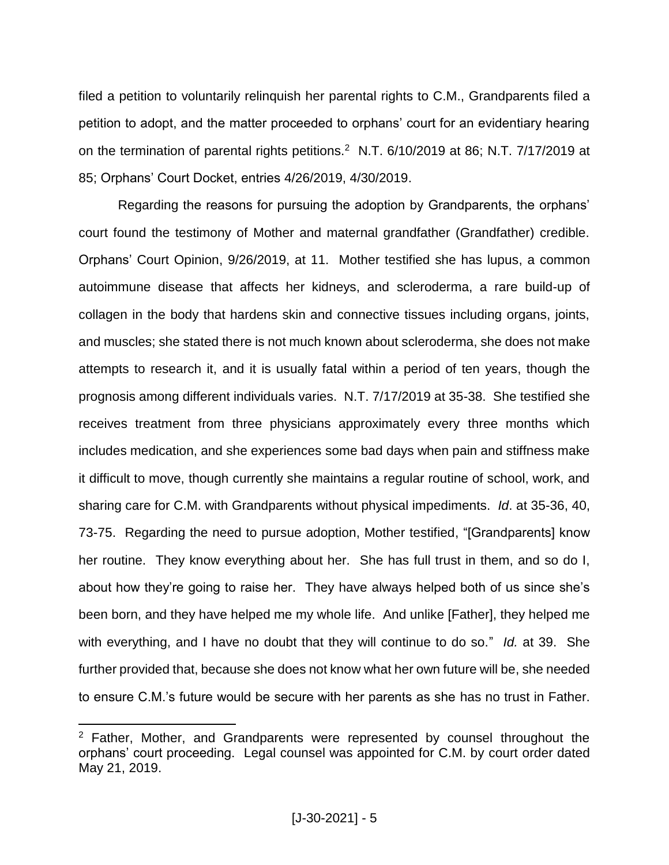filed a petition to voluntarily relinquish her parental rights to C.M., Grandparents filed a petition to adopt, and the matter proceeded to orphans' court for an evidentiary hearing on the termination of parental rights petitions.<sup>2</sup> N.T. 6/10/2019 at 86; N.T. 7/17/2019 at 85; Orphans' Court Docket, entries 4/26/2019, 4/30/2019.

Regarding the reasons for pursuing the adoption by Grandparents, the orphans' court found the testimony of Mother and maternal grandfather (Grandfather) credible. Orphans' Court Opinion, 9/26/2019, at 11. Mother testified she has lupus, a common autoimmune disease that affects her kidneys, and scleroderma, a rare build-up of collagen in the body that hardens skin and connective tissues including organs, joints, and muscles; she stated there is not much known about scleroderma, she does not make attempts to research it, and it is usually fatal within a period of ten years, though the prognosis among different individuals varies. N.T. 7/17/2019 at 35-38. She testified she receives treatment from three physicians approximately every three months which includes medication, and she experiences some bad days when pain and stiffness make it difficult to move, though currently she maintains a regular routine of school, work, and sharing care for C.M. with Grandparents without physical impediments. *Id*. at 35-36, 40, 73-75. Regarding the need to pursue adoption, Mother testified, "[Grandparents] know her routine. They know everything about her. She has full trust in them, and so do I, about how they're going to raise her. They have always helped both of us since she's been born, and they have helped me my whole life. And unlike [Father], they helped me with everything, and I have no doubt that they will continue to do so." *Id.* at 39. She further provided that, because she does not know what her own future will be, she needed to ensure C.M.'s future would be secure with her parents as she has no trust in Father.

 $2$  Father, Mother, and Grandparents were represented by counsel throughout the orphans' court proceeding. Legal counsel was appointed for C.M. by court order dated May 21, 2019.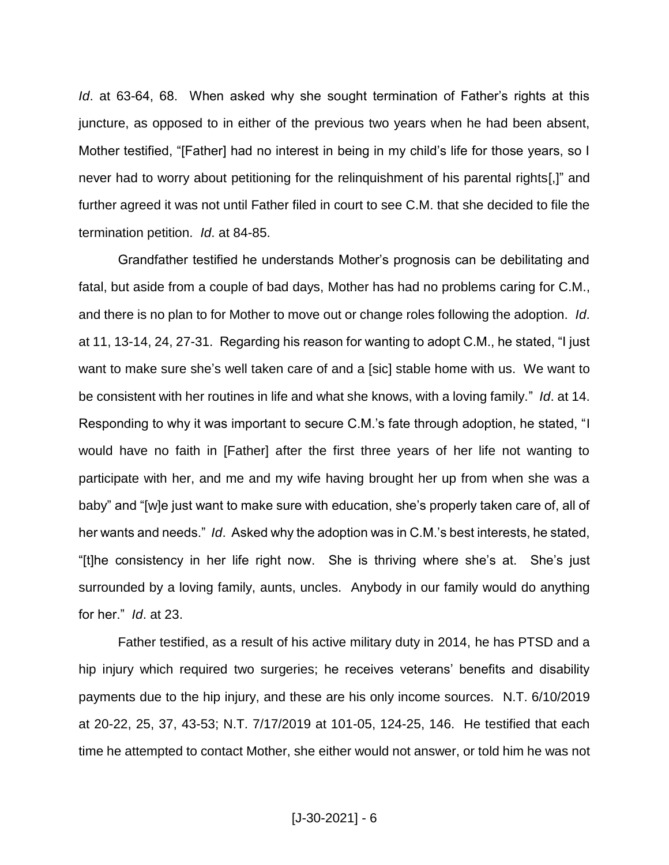*Id*. at 63-64, 68. When asked why she sought termination of Father's rights at this juncture, as opposed to in either of the previous two years when he had been absent, Mother testified, "[Father] had no interest in being in my child's life for those years, so I never had to worry about petitioning for the relinquishment of his parental rights[,]" and further agreed it was not until Father filed in court to see C.M. that she decided to file the termination petition. *Id*. at 84-85.

Grandfather testified he understands Mother's prognosis can be debilitating and fatal, but aside from a couple of bad days, Mother has had no problems caring for C.M., and there is no plan to for Mother to move out or change roles following the adoption. *Id*. at 11, 13-14, 24, 27-31. Regarding his reason for wanting to adopt C.M., he stated, "I just want to make sure she's well taken care of and a [sic] stable home with us. We want to be consistent with her routines in life and what she knows, with a loving family." *Id*. at 14. Responding to why it was important to secure C.M.'s fate through adoption, he stated, "I would have no faith in [Father] after the first three years of her life not wanting to participate with her, and me and my wife having brought her up from when she was a baby" and "[w]e just want to make sure with education, she's properly taken care of, all of her wants and needs." *Id*. Asked why the adoption was in C.M.'s best interests, he stated, "[t]he consistency in her life right now. She is thriving where she's at. She's just surrounded by a loving family, aunts, uncles. Anybody in our family would do anything for her." *Id*. at 23.

Father testified, as a result of his active military duty in 2014, he has PTSD and a hip injury which required two surgeries; he receives veterans' benefits and disability payments due to the hip injury, and these are his only income sources. N.T. 6/10/2019 at 20-22, 25, 37, 43-53; N.T. 7/17/2019 at 101-05, 124-25, 146. He testified that each time he attempted to contact Mother, she either would not answer, or told him he was not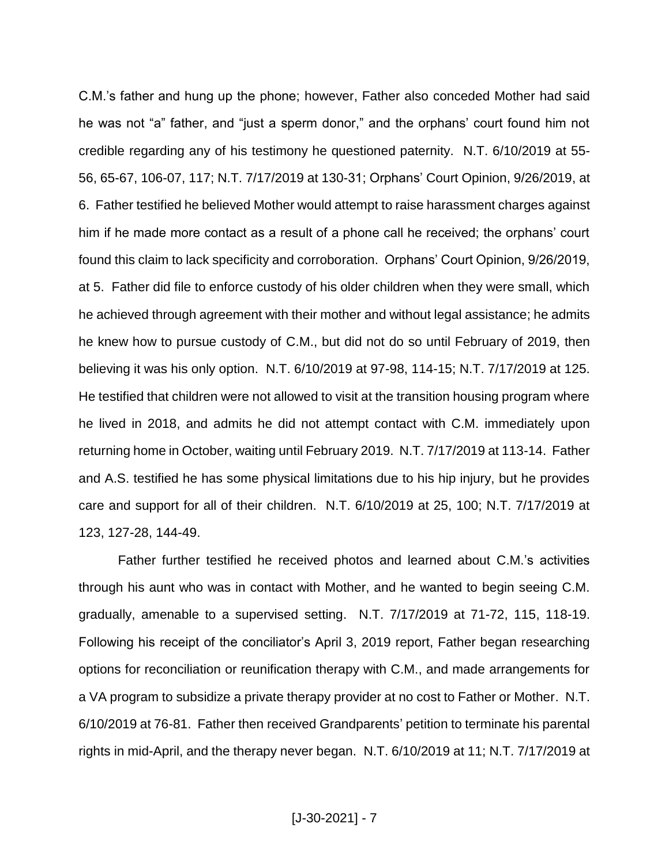C.M.'s father and hung up the phone; however, Father also conceded Mother had said he was not "a" father, and "just a sperm donor," and the orphans' court found him not credible regarding any of his testimony he questioned paternity. N.T. 6/10/2019 at 55- 56, 65-67, 106-07, 117; N.T. 7/17/2019 at 130-31; Orphans' Court Opinion, 9/26/2019, at 6. Father testified he believed Mother would attempt to raise harassment charges against him if he made more contact as a result of a phone call he received; the orphans' court found this claim to lack specificity and corroboration. Orphans' Court Opinion, 9/26/2019, at 5. Father did file to enforce custody of his older children when they were small, which he achieved through agreement with their mother and without legal assistance; he admits he knew how to pursue custody of C.M., but did not do so until February of 2019, then believing it was his only option. N.T. 6/10/2019 at 97-98, 114-15; N.T. 7/17/2019 at 125. He testified that children were not allowed to visit at the transition housing program where he lived in 2018, and admits he did not attempt contact with C.M. immediately upon returning home in October, waiting until February 2019. N.T. 7/17/2019 at 113-14. Father and A.S. testified he has some physical limitations due to his hip injury, but he provides care and support for all of their children. N.T. 6/10/2019 at 25, 100; N.T. 7/17/2019 at 123, 127-28, 144-49.

Father further testified he received photos and learned about C.M.'s activities through his aunt who was in contact with Mother, and he wanted to begin seeing C.M. gradually, amenable to a supervised setting. N.T. 7/17/2019 at 71-72, 115, 118-19. Following his receipt of the conciliator's April 3, 2019 report, Father began researching options for reconciliation or reunification therapy with C.M., and made arrangements for a VA program to subsidize a private therapy provider at no cost to Father or Mother. N.T. 6/10/2019 at 76-81. Father then received Grandparents' petition to terminate his parental rights in mid-April, and the therapy never began. N.T. 6/10/2019 at 11; N.T. 7/17/2019 at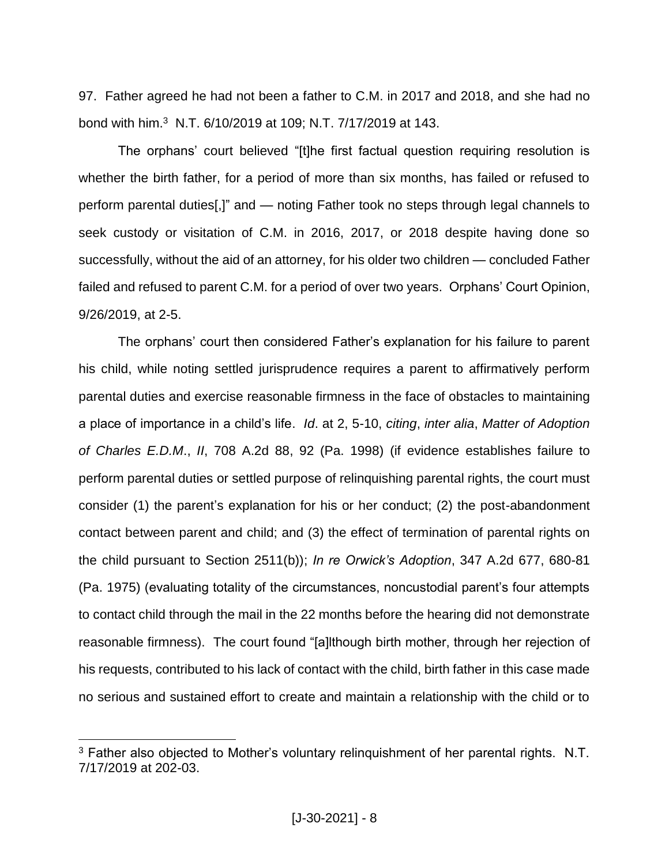97. Father agreed he had not been a father to C.M. in 2017 and 2018, and she had no bond with him.<sup>3</sup> N.T. 6/10/2019 at 109; N.T. 7/17/2019 at 143.

The orphans' court believed "[t]he first factual question requiring resolution is whether the birth father, for a period of more than six months, has failed or refused to perform parental duties[,]" and — noting Father took no steps through legal channels to seek custody or visitation of C.M. in 2016, 2017, or 2018 despite having done so successfully, without the aid of an attorney, for his older two children — concluded Father failed and refused to parent C.M. for a period of over two years. Orphans' Court Opinion, 9/26/2019, at 2-5.

The orphans' court then considered Father's explanation for his failure to parent his child, while noting settled jurisprudence requires a parent to affirmatively perform parental duties and exercise reasonable firmness in the face of obstacles to maintaining a place of importance in a child's life. *Id*. at 2, 5-10, *citing*, *inter alia*, *Matter of Adoption of Charles E.D.M*., *II*, 708 A.2d 88, 92 (Pa. 1998) (if evidence establishes failure to perform parental duties or settled purpose of relinquishing parental rights, the court must consider (1) the parent's explanation for his or her conduct; (2) the post-abandonment contact between parent and child; and (3) the effect of termination of parental rights on the child pursuant to Section 2511(b)); *In re Orwick's Adoption*, 347 A.2d 677, 680-81 (Pa. 1975) (evaluating totality of the circumstances, noncustodial parent's four attempts to contact child through the mail in the 22 months before the hearing did not demonstrate reasonable firmness). The court found "[a]lthough birth mother, through her rejection of his requests, contributed to his lack of contact with the child, birth father in this case made no serious and sustained effort to create and maintain a relationship with the child or to

 $3$  Father also objected to Mother's voluntary relinguishment of her parental rights. N.T. 7/17/2019 at 202-03.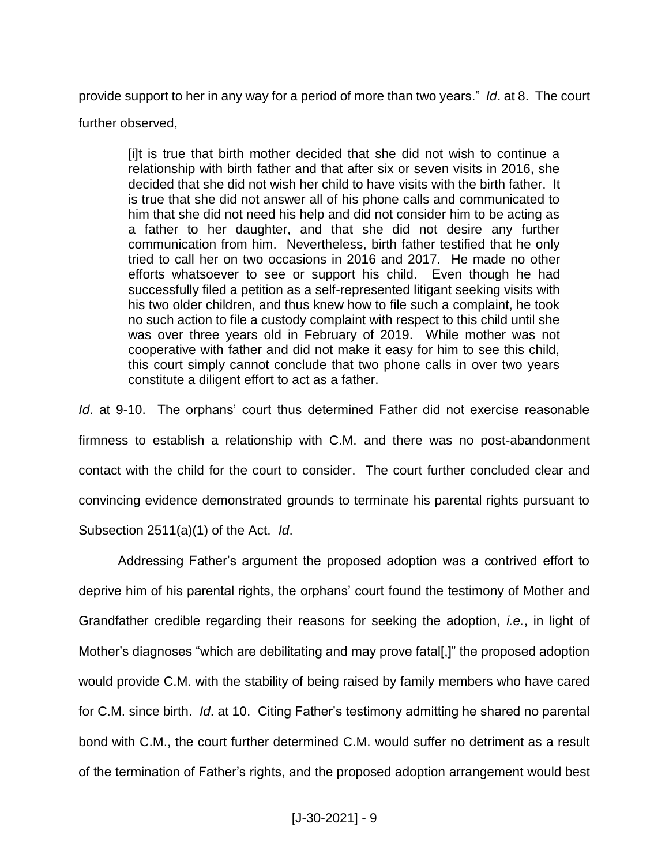provide support to her in any way for a period of more than two years." *Id*. at 8. The court

#### further observed,

[i]t is true that birth mother decided that she did not wish to continue a relationship with birth father and that after six or seven visits in 2016, she decided that she did not wish her child to have visits with the birth father. It is true that she did not answer all of his phone calls and communicated to him that she did not need his help and did not consider him to be acting as a father to her daughter, and that she did not desire any further communication from him. Nevertheless, birth father testified that he only tried to call her on two occasions in 2016 and 2017. He made no other efforts whatsoever to see or support his child. Even though he had successfully filed a petition as a self-represented litigant seeking visits with his two older children, and thus knew how to file such a complaint, he took no such action to file a custody complaint with respect to this child until she was over three years old in February of 2019. While mother was not cooperative with father and did not make it easy for him to see this child, this court simply cannot conclude that two phone calls in over two years constitute a diligent effort to act as a father.

*Id*. at 9-10. The orphans' court thus determined Father did not exercise reasonable firmness to establish a relationship with C.M. and there was no post-abandonment contact with the child for the court to consider. The court further concluded clear and convincing evidence demonstrated grounds to terminate his parental rights pursuant to Subsection 2511(a)(1) of the Act. *Id*.

Addressing Father's argument the proposed adoption was a contrived effort to deprive him of his parental rights, the orphans' court found the testimony of Mother and Grandfather credible regarding their reasons for seeking the adoption, *i.e.*, in light of Mother's diagnoses "which are debilitating and may prove fatal[,]" the proposed adoption would provide C.M. with the stability of being raised by family members who have cared for C.M. since birth. *Id*. at 10. Citing Father's testimony admitting he shared no parental bond with C.M., the court further determined C.M. would suffer no detriment as a result of the termination of Father's rights, and the proposed adoption arrangement would best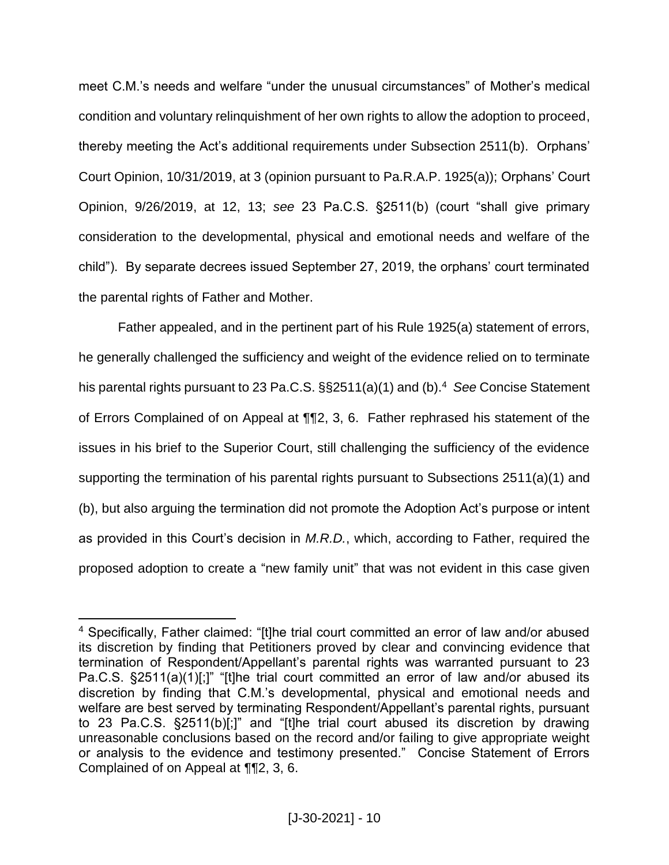meet C.M.'s needs and welfare "under the unusual circumstances" of Mother's medical condition and voluntary relinquishment of her own rights to allow the adoption to proceed, thereby meeting the Act's additional requirements under Subsection 2511(b). Orphans' Court Opinion, 10/31/2019, at 3 (opinion pursuant to Pa.R.A.P. 1925(a)); Orphans' Court Opinion, 9/26/2019, at 12, 13; *see* 23 Pa.C.S. §2511(b) (court "shall give primary consideration to the developmental, physical and emotional needs and welfare of the child"). By separate decrees issued September 27, 2019, the orphans' court terminated the parental rights of Father and Mother.

Father appealed, and in the pertinent part of his Rule 1925(a) statement of errors, he generally challenged the sufficiency and weight of the evidence relied on to terminate his parental rights pursuant to 23 Pa.C.S. §§2511(a)(1) and (b).<sup>4</sup> *See* Concise Statement of Errors Complained of on Appeal at ¶¶2, 3, 6. Father rephrased his statement of the issues in his brief to the Superior Court, still challenging the sufficiency of the evidence supporting the termination of his parental rights pursuant to Subsections 2511(a)(1) and (b), but also arguing the termination did not promote the Adoption Act's purpose or intent as provided in this Court's decision in *M.R.D.*, which, according to Father, required the proposed adoption to create a "new family unit" that was not evident in this case given

<sup>4</sup> Specifically, Father claimed: "[t]he trial court committed an error of law and/or abused its discretion by finding that Petitioners proved by clear and convincing evidence that termination of Respondent/Appellant's parental rights was warranted pursuant to 23 Pa.C.S. §2511(a)(1)[;]" "[t]he trial court committed an error of law and/or abused its discretion by finding that C.M.'s developmental, physical and emotional needs and welfare are best served by terminating Respondent/Appellant's parental rights, pursuant to 23 Pa.C.S. §2511(b)[;]" and "[t]he trial court abused its discretion by drawing unreasonable conclusions based on the record and/or failing to give appropriate weight or analysis to the evidence and testimony presented." Concise Statement of Errors Complained of on Appeal at ¶¶2, 3, 6.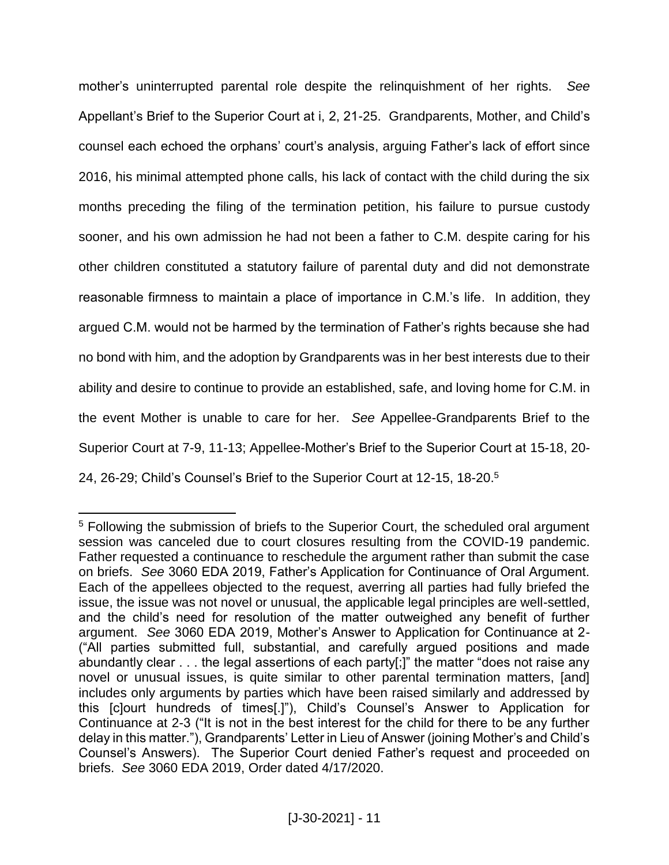mother's uninterrupted parental role despite the relinquishment of her rights. *See* Appellant's Brief to the Superior Court at i, 2, 21-25. Grandparents, Mother, and Child's counsel each echoed the orphans' court's analysis, arguing Father's lack of effort since 2016, his minimal attempted phone calls, his lack of contact with the child during the six months preceding the filing of the termination petition, his failure to pursue custody sooner, and his own admission he had not been a father to C.M. despite caring for his other children constituted a statutory failure of parental duty and did not demonstrate reasonable firmness to maintain a place of importance in C.M.'s life. In addition, they argued C.M. would not be harmed by the termination of Father's rights because she had no bond with him, and the adoption by Grandparents was in her best interests due to their ability and desire to continue to provide an established, safe, and loving home for C.M. in the event Mother is unable to care for her. *See* Appellee-Grandparents Brief to the Superior Court at 7-9, 11-13; Appellee-Mother's Brief to the Superior Court at 15-18, 20- 24, 26-29; Child's Counsel's Brief to the Superior Court at 12-15, 18-20. 5

<sup>&</sup>lt;sup>5</sup> Following the submission of briefs to the Superior Court, the scheduled oral argument session was canceled due to court closures resulting from the COVID-19 pandemic. Father requested a continuance to reschedule the argument rather than submit the case on briefs. *See* 3060 EDA 2019, Father's Application for Continuance of Oral Argument. Each of the appellees objected to the request, averring all parties had fully briefed the issue, the issue was not novel or unusual, the applicable legal principles are well-settled, and the child's need for resolution of the matter outweighed any benefit of further argument. *See* 3060 EDA 2019, Mother's Answer to Application for Continuance at 2- ("All parties submitted full, substantial, and carefully argued positions and made abundantly clear . . . the legal assertions of each party[;]" the matter "does not raise any novel or unusual issues, is quite similar to other parental termination matters, [and] includes only arguments by parties which have been raised similarly and addressed by this [c]ourt hundreds of times[.]"), Child's Counsel's Answer to Application for Continuance at 2-3 ("It is not in the best interest for the child for there to be any further delay in this matter."), Grandparents' Letter in Lieu of Answer (joining Mother's and Child's Counsel's Answers). The Superior Court denied Father's request and proceeded on briefs. *See* 3060 EDA 2019, Order dated 4/17/2020.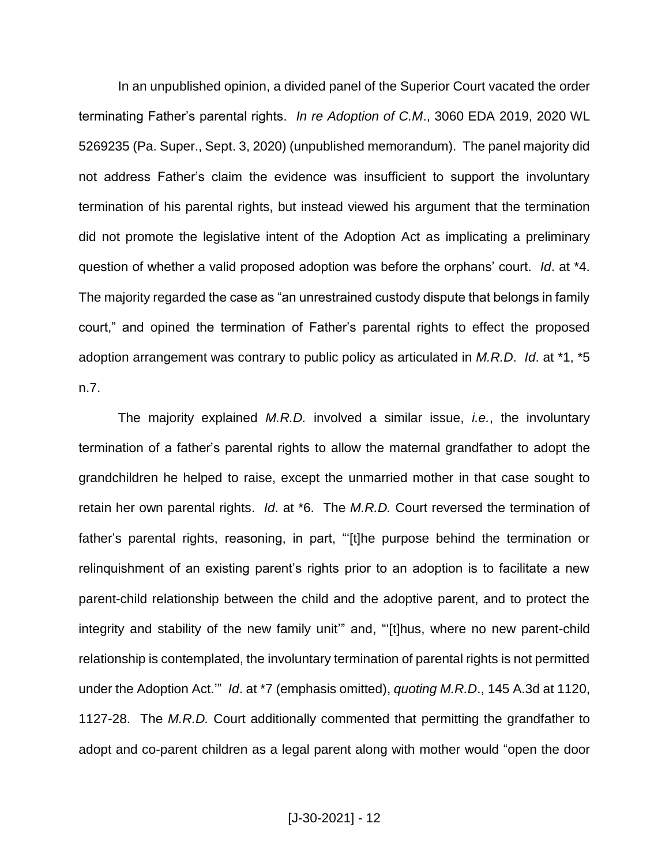In an unpublished opinion, a divided panel of the Superior Court vacated the order terminating Father's parental rights. *In re Adoption of C.M*., 3060 EDA 2019, 2020 WL 5269235 (Pa. Super., Sept. 3, 2020) (unpublished memorandum). The panel majority did not address Father's claim the evidence was insufficient to support the involuntary termination of his parental rights, but instead viewed his argument that the termination did not promote the legislative intent of the Adoption Act as implicating a preliminary question of whether a valid proposed adoption was before the orphans' court. *Id*. at \*4. The majority regarded the case as "an unrestrained custody dispute that belongs in family court," and opined the termination of Father's parental rights to effect the proposed adoption arrangement was contrary to public policy as articulated in *M.R.D*. *Id*. at \*1, \*5 n.7.

The majority explained *M.R.D.* involved a similar issue, *i.e.*, the involuntary termination of a father's parental rights to allow the maternal grandfather to adopt the grandchildren he helped to raise, except the unmarried mother in that case sought to retain her own parental rights. *Id*. at \*6. The *M.R.D.* Court reversed the termination of father's parental rights, reasoning, in part, "'[t]he purpose behind the termination or relinquishment of an existing parent's rights prior to an adoption is to facilitate a new parent-child relationship between the child and the adoptive parent, and to protect the integrity and stability of the new family unit" and, "[t]hus, where no new parent-child relationship is contemplated, the involuntary termination of parental rights is not permitted under the Adoption Act.'" *Id*. at \*7 (emphasis omitted), *quoting M.R.D*., 145 A.3d at 1120, 1127-28. The *M.R.D.* Court additionally commented that permitting the grandfather to adopt and co-parent children as a legal parent along with mother would "open the door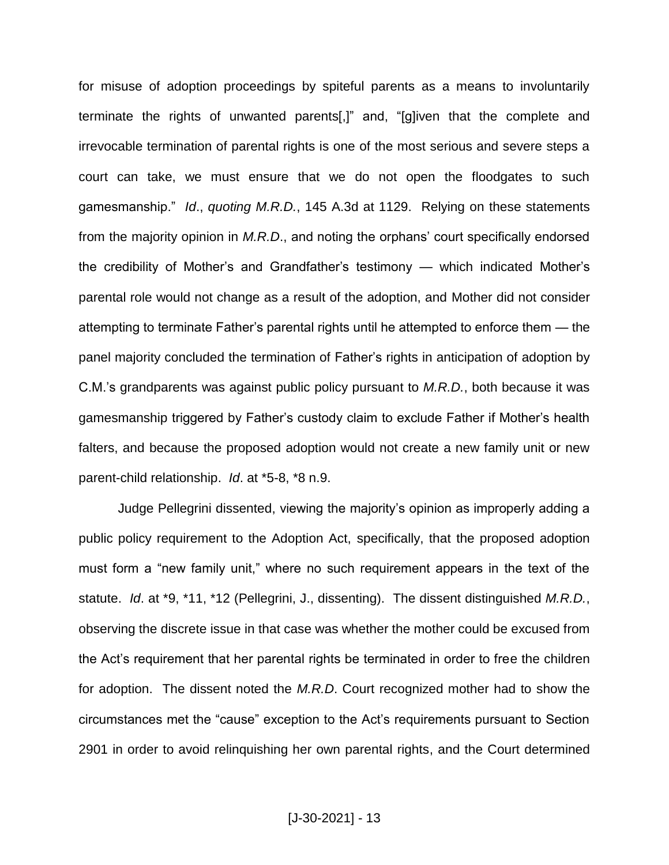for misuse of adoption proceedings by spiteful parents as a means to involuntarily terminate the rights of unwanted parents[,]" and, "[g]iven that the complete and irrevocable termination of parental rights is one of the most serious and severe steps a court can take, we must ensure that we do not open the floodgates to such gamesmanship." *Id*., *quoting M.R.D.*, 145 A.3d at 1129. Relying on these statements from the majority opinion in *M.R.D*., and noting the orphans' court specifically endorsed the credibility of Mother's and Grandfather's testimony — which indicated Mother's parental role would not change as a result of the adoption, and Mother did not consider attempting to terminate Father's parental rights until he attempted to enforce them — the panel majority concluded the termination of Father's rights in anticipation of adoption by C.M.'s grandparents was against public policy pursuant to *M.R.D.*, both because it was gamesmanship triggered by Father's custody claim to exclude Father if Mother's health falters, and because the proposed adoption would not create a new family unit or new parent-child relationship. *Id*. at \*5-8, \*8 n.9.

Judge Pellegrini dissented, viewing the majority's opinion as improperly adding a public policy requirement to the Adoption Act, specifically, that the proposed adoption must form a "new family unit," where no such requirement appears in the text of the statute. *Id*. at \*9, \*11, \*12 (Pellegrini, J., dissenting). The dissent distinguished *M.R.D.*, observing the discrete issue in that case was whether the mother could be excused from the Act's requirement that her parental rights be terminated in order to free the children for adoption. The dissent noted the *M.R.D*. Court recognized mother had to show the circumstances met the "cause" exception to the Act's requirements pursuant to Section 2901 in order to avoid relinquishing her own parental rights, and the Court determined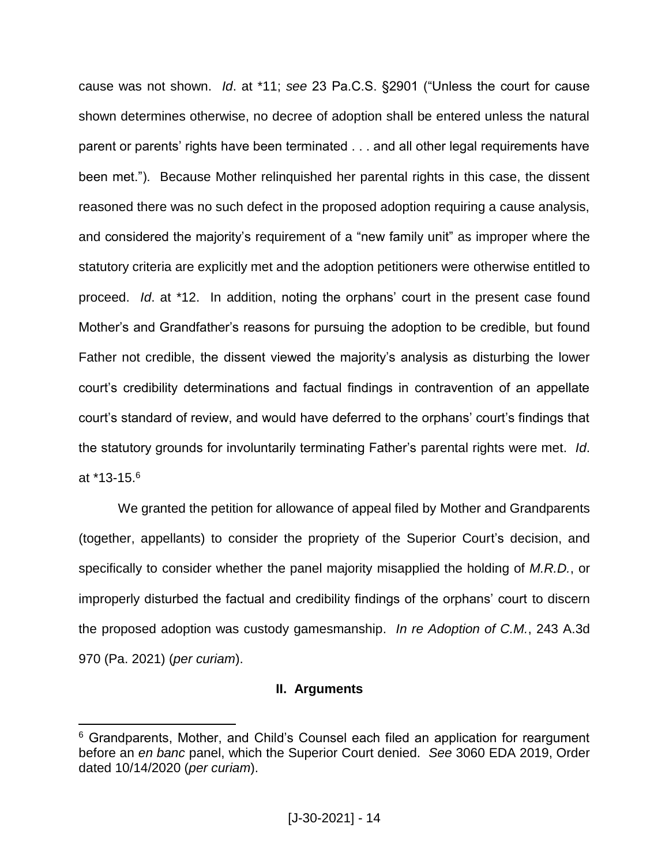cause was not shown. *Id*. at \*11; *see* 23 Pa.C.S. §2901 ("Unless the court for cause shown determines otherwise, no decree of adoption shall be entered unless the natural parent or parents' rights have been terminated . . . and all other legal requirements have been met."). Because Mother relinquished her parental rights in this case, the dissent reasoned there was no such defect in the proposed adoption requiring a cause analysis, and considered the majority's requirement of a "new family unit" as improper where the statutory criteria are explicitly met and the adoption petitioners were otherwise entitled to proceed. *Id*. at \*12. In addition, noting the orphans' court in the present case found Mother's and Grandfather's reasons for pursuing the adoption to be credible, but found Father not credible, the dissent viewed the majority's analysis as disturbing the lower court's credibility determinations and factual findings in contravention of an appellate court's standard of review, and would have deferred to the orphans' court's findings that the statutory grounds for involuntarily terminating Father's parental rights were met. *Id*. at \*13-15.<sup>6</sup>

We granted the petition for allowance of appeal filed by Mother and Grandparents (together, appellants) to consider the propriety of the Superior Court's decision, and specifically to consider whether the panel majority misapplied the holding of *M.R.D.*, or improperly disturbed the factual and credibility findings of the orphans' court to discern the proposed adoption was custody gamesmanship. *In re Adoption of C.M.*, 243 A.3d 970 (Pa. 2021) (*per curiam*).

## **II. Arguments**

<sup>&</sup>lt;sup>6</sup> Grandparents, Mother, and Child's Counsel each filed an application for reargument before an *en banc* panel, which the Superior Court denied. *See* 3060 EDA 2019, Order dated 10/14/2020 (*per curiam*).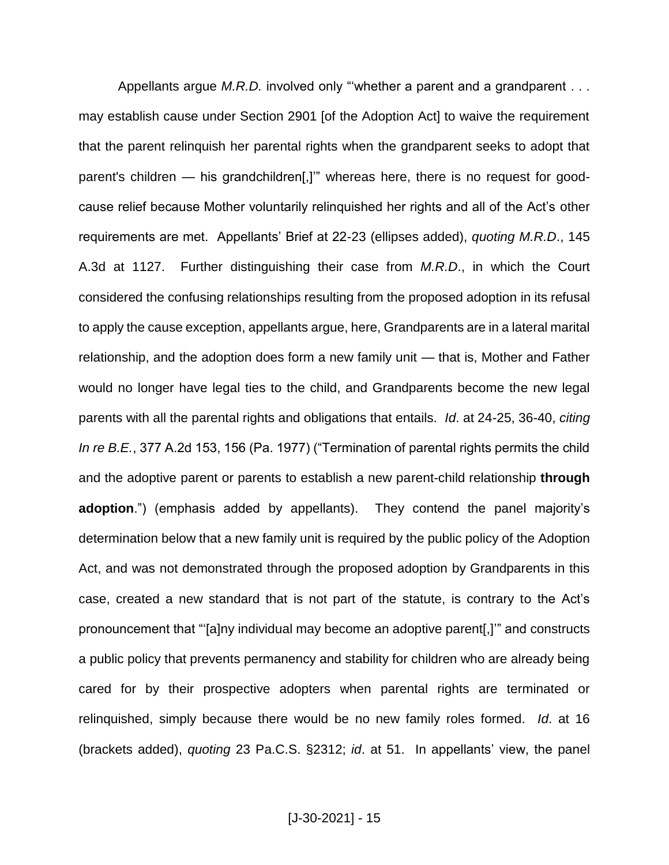Appellants argue *M.R.D.* involved only "whether a parent and a grandparent . . . may establish cause under Section 2901 [of the Adoption Act] to waive the requirement that the parent relinquish her parental rights when the grandparent seeks to adopt that parent's children — his grandchildren[,]" whereas here, there is no request for goodcause relief because Mother voluntarily relinquished her rights and all of the Act's other requirements are met. Appellants' Brief at 22-23 (ellipses added), *quoting M.R.D*., 145 A.3d at 1127. Further distinguishing their case from *M.R.D*., in which the Court considered the confusing relationships resulting from the proposed adoption in its refusal to apply the cause exception, appellants argue, here, Grandparents are in a lateral marital relationship, and the adoption does form a new family unit — that is, Mother and Father would no longer have legal ties to the child, and Grandparents become the new legal parents with all the parental rights and obligations that entails. *Id*. at 24-25, 36-40, *citing In re B.E.*, 377 A.2d 153, 156 (Pa. 1977) ("Termination of parental rights permits the child and the adoptive parent or parents to establish a new parent-child relationship **through adoption**.") (emphasis added by appellants). They contend the panel majority's determination below that a new family unit is required by the public policy of the Adoption Act, and was not demonstrated through the proposed adoption by Grandparents in this case, created a new standard that is not part of the statute, is contrary to the Act's pronouncement that "'[a]ny individual may become an adoptive parent[,]'" and constructs a public policy that prevents permanency and stability for children who are already being cared for by their prospective adopters when parental rights are terminated or relinquished, simply because there would be no new family roles formed. *Id*. at 16 (brackets added), *quoting* 23 Pa.C.S. §2312; *id*. at 51. In appellants' view, the panel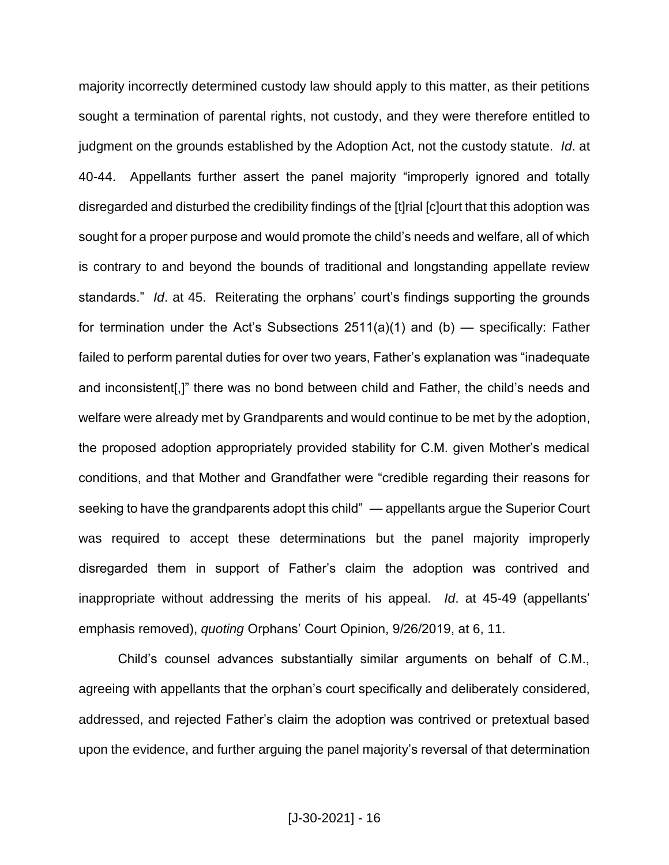majority incorrectly determined custody law should apply to this matter, as their petitions sought a termination of parental rights, not custody, and they were therefore entitled to judgment on the grounds established by the Adoption Act, not the custody statute. *Id*. at 40-44. Appellants further assert the panel majority "improperly ignored and totally disregarded and disturbed the credibility findings of the [t]rial [c]ourt that this adoption was sought for a proper purpose and would promote the child's needs and welfare, all of which is contrary to and beyond the bounds of traditional and longstanding appellate review standards." *Id*. at 45. Reiterating the orphans' court's findings supporting the grounds for termination under the Act's Subsections  $2511(a)(1)$  and (b) — specifically: Father failed to perform parental duties for over two years, Father's explanation was "inadequate and inconsistent[,]" there was no bond between child and Father, the child's needs and welfare were already met by Grandparents and would continue to be met by the adoption, the proposed adoption appropriately provided stability for C.M. given Mother's medical conditions, and that Mother and Grandfather were "credible regarding their reasons for seeking to have the grandparents adopt this child" — appellants argue the Superior Court was required to accept these determinations but the panel majority improperly disregarded them in support of Father's claim the adoption was contrived and inappropriate without addressing the merits of his appeal. *Id*. at 45-49 (appellants' emphasis removed), *quoting* Orphans' Court Opinion, 9/26/2019, at 6, 11.

Child's counsel advances substantially similar arguments on behalf of C.M., agreeing with appellants that the orphan's court specifically and deliberately considered, addressed, and rejected Father's claim the adoption was contrived or pretextual based upon the evidence, and further arguing the panel majority's reversal of that determination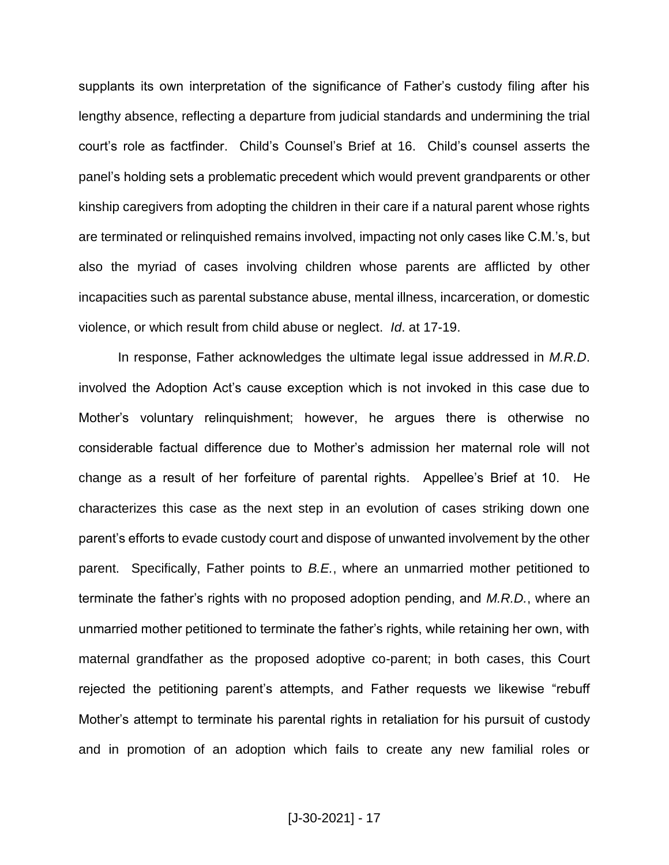supplants its own interpretation of the significance of Father's custody filing after his lengthy absence, reflecting a departure from judicial standards and undermining the trial court's role as factfinder. Child's Counsel's Brief at 16. Child's counsel asserts the panel's holding sets a problematic precedent which would prevent grandparents or other kinship caregivers from adopting the children in their care if a natural parent whose rights are terminated or relinquished remains involved, impacting not only cases like C.M.'s, but also the myriad of cases involving children whose parents are afflicted by other incapacities such as parental substance abuse, mental illness, incarceration, or domestic violence, or which result from child abuse or neglect. *Id*. at 17-19.

In response, Father acknowledges the ultimate legal issue addressed in *M.R.D*. involved the Adoption Act's cause exception which is not invoked in this case due to Mother's voluntary relinquishment; however, he argues there is otherwise no considerable factual difference due to Mother's admission her maternal role will not change as a result of her forfeiture of parental rights. Appellee's Brief at 10. He characterizes this case as the next step in an evolution of cases striking down one parent's efforts to evade custody court and dispose of unwanted involvement by the other parent. Specifically, Father points to *B.E.*, where an unmarried mother petitioned to terminate the father's rights with no proposed adoption pending, and *M.R.D.*, where an unmarried mother petitioned to terminate the father's rights, while retaining her own, with maternal grandfather as the proposed adoptive co-parent; in both cases, this Court rejected the petitioning parent's attempts, and Father requests we likewise "rebuff Mother's attempt to terminate his parental rights in retaliation for his pursuit of custody and in promotion of an adoption which fails to create any new familial roles or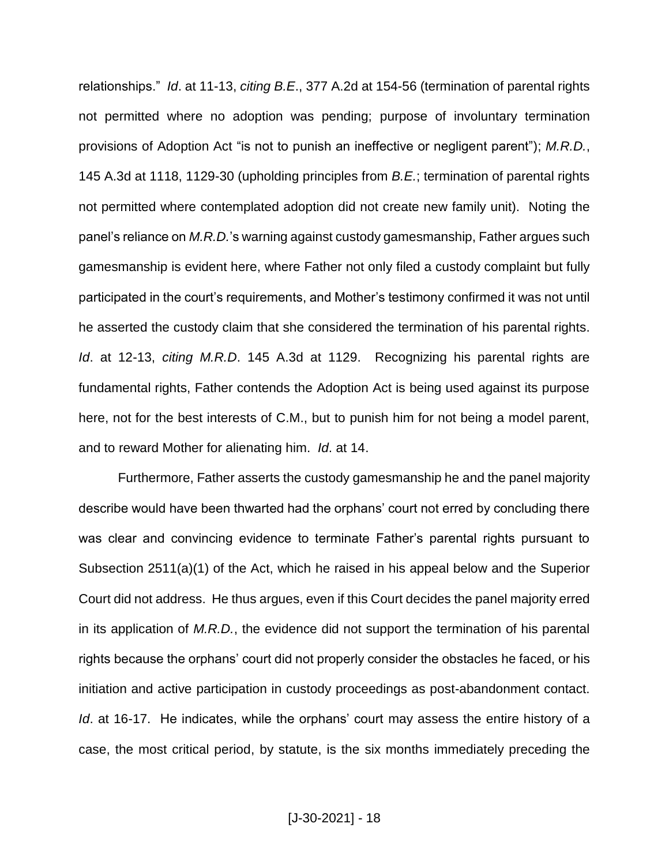relationships." *Id*. at 11-13, *citing B.E*., 377 A.2d at 154-56 (termination of parental rights not permitted where no adoption was pending; purpose of involuntary termination provisions of Adoption Act "is not to punish an ineffective or negligent parent"); *M.R.D.*, 145 A.3d at 1118, 1129-30 (upholding principles from *B.E.*; termination of parental rights not permitted where contemplated adoption did not create new family unit). Noting the panel's reliance on *M.R.D.*'s warning against custody gamesmanship, Father argues such gamesmanship is evident here, where Father not only filed a custody complaint but fully participated in the court's requirements, and Mother's testimony confirmed it was not until he asserted the custody claim that she considered the termination of his parental rights. *Id*. at 12-13, *citing M.R.D*. 145 A.3d at 1129. Recognizing his parental rights are fundamental rights, Father contends the Adoption Act is being used against its purpose here, not for the best interests of C.M., but to punish him for not being a model parent, and to reward Mother for alienating him. *Id*. at 14.

Furthermore, Father asserts the custody gamesmanship he and the panel majority describe would have been thwarted had the orphans' court not erred by concluding there was clear and convincing evidence to terminate Father's parental rights pursuant to Subsection 2511(a)(1) of the Act, which he raised in his appeal below and the Superior Court did not address. He thus argues, even if this Court decides the panel majority erred in its application of *M.R.D.*, the evidence did not support the termination of his parental rights because the orphans' court did not properly consider the obstacles he faced, or his initiation and active participation in custody proceedings as post-abandonment contact. *Id*. at 16-17. He indicates, while the orphans' court may assess the entire history of a case, the most critical period, by statute, is the six months immediately preceding the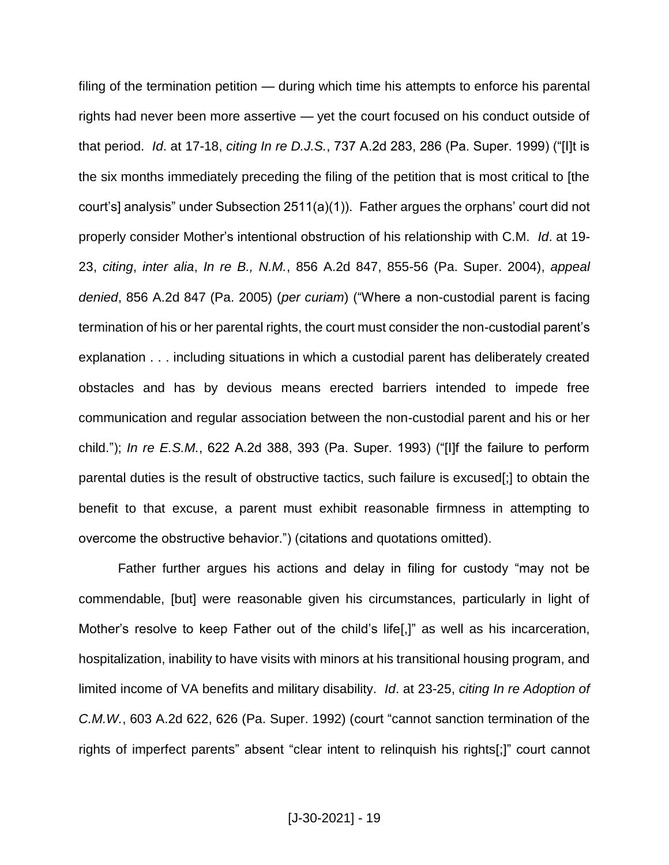filing of the termination petition — during which time his attempts to enforce his parental rights had never been more assertive — yet the court focused on his conduct outside of that period. *Id*. at 17-18, *citing In re D.J.S.*, 737 A.2d 283, 286 (Pa. Super. 1999) ("[I]t is the six months immediately preceding the filing of the petition that is most critical to [the court's] analysis" under Subsection 2511(a)(1)). Father argues the orphans' court did not properly consider Mother's intentional obstruction of his relationship with C.M. *Id*. at 19- 23, *citing*, *inter alia*, *In re B., N.M.*, 856 A.2d 847, 855-56 (Pa. Super. 2004), *appeal denied*, 856 A.2d 847 (Pa. 2005) (*per curiam*) ("Where a non-custodial parent is facing termination of his or her parental rights, the court must consider the non-custodial parent's explanation . . . including situations in which a custodial parent has deliberately created obstacles and has by devious means erected barriers intended to impede free communication and regular association between the non-custodial parent and his or her child."); *In re E.S.M.*, 622 A.2d 388, 393 (Pa. Super. 1993) ("[I]f the failure to perform parental duties is the result of obstructive tactics, such failure is excused[;] to obtain the benefit to that excuse, a parent must exhibit reasonable firmness in attempting to overcome the obstructive behavior.") (citations and quotations omitted).

Father further argues his actions and delay in filing for custody "may not be commendable, [but] were reasonable given his circumstances, particularly in light of Mother's resolve to keep Father out of the child's life[,]" as well as his incarceration, hospitalization, inability to have visits with minors at his transitional housing program, and limited income of VA benefits and military disability. *Id*. at 23-25, *citing In re Adoption of C.M.W.*, 603 A.2d 622, 626 (Pa. Super. 1992) (court "cannot sanction termination of the rights of imperfect parents" absent "clear intent to relinquish his rights[;]" court cannot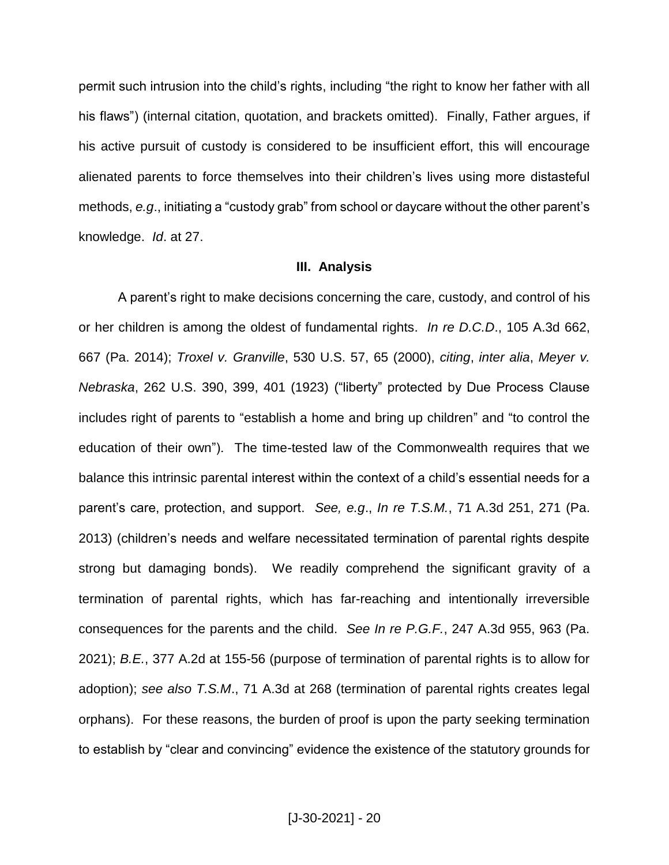permit such intrusion into the child's rights, including "the right to know her father with all his flaws") (internal citation, quotation, and brackets omitted). Finally, Father argues, if his active pursuit of custody is considered to be insufficient effort, this will encourage alienated parents to force themselves into their children's lives using more distasteful methods, *e.g*., initiating a "custody grab" from school or daycare without the other parent's knowledge. *Id*. at 27.

#### **III. Analysis**

A parent's right to make decisions concerning the care, custody, and control of his or her children is among the oldest of fundamental rights. *In re D.C.D*., 105 A.3d 662, 667 (Pa. 2014); *Troxel v. Granville*, 530 U.S. 57, 65 (2000), *citing*, *inter alia*, *Meyer v. Nebraska*, 262 U.S. 390, 399, 401 (1923) ("liberty" protected by Due Process Clause includes right of parents to "establish a home and bring up children" and "to control the education of their own"). The time-tested law of the Commonwealth requires that we balance this intrinsic parental interest within the context of a child's essential needs for a parent's care, protection, and support. *See, e.g*., *In re T.S.M.*, 71 A.3d 251, 271 (Pa. 2013) (children's needs and welfare necessitated termination of parental rights despite strong but damaging bonds). We readily comprehend the significant gravity of a termination of parental rights, which has far-reaching and intentionally irreversible consequences for the parents and the child. *See In re P.G.F.*, 247 A.3d 955, 963 (Pa. 2021); *B.E.*, 377 A.2d at 155-56 (purpose of termination of parental rights is to allow for adoption); *see also T.S.M*., 71 A.3d at 268 (termination of parental rights creates legal orphans). For these reasons, the burden of proof is upon the party seeking termination to establish by "clear and convincing" evidence the existence of the statutory grounds for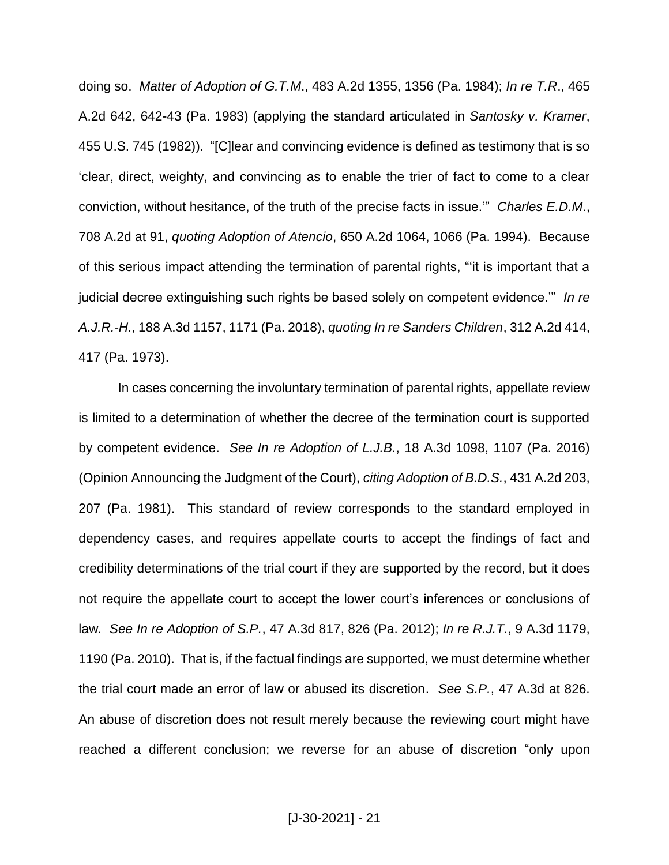doing so. *Matter of Adoption of G.T.M*., 483 A.2d 1355, 1356 (Pa. 1984); *In re T.R*., 465 A.2d 642, 642-43 (Pa. 1983) (applying the standard articulated in *Santosky v. Kramer*, 455 U.S. 745 (1982)). "[C]lear and convincing evidence is defined as testimony that is so 'clear, direct, weighty, and convincing as to enable the trier of fact to come to a clear conviction, without hesitance, of the truth of the precise facts in issue.'" *Charles E.D.M*., 708 A.2d at 91, *quoting Adoption of Atencio*, 650 A.2d 1064, 1066 (Pa. 1994). Because of this serious impact attending the termination of parental rights, "'it is important that a judicial decree extinguishing such rights be based solely on competent evidence.'" *In re A.J.R.-H.*, 188 A.3d 1157, 1171 (Pa. 2018), *quoting In re Sanders Children*, 312 A.2d 414, 417 (Pa. 1973).

In cases concerning the involuntary termination of parental rights, appellate review is limited to a determination of whether the decree of the termination court is supported by competent evidence. *See In re Adoption of L.J.B.*, 18 A.3d 1098, 1107 (Pa. 2016) (Opinion Announcing the Judgment of the Court), *citing Adoption of B.D.S.*, 431 A.2d 203, 207 (Pa. 1981). This standard of review corresponds to the standard employed in dependency cases, and requires appellate courts to accept the findings of fact and credibility determinations of the trial court if they are supported by the record, but it does not require the appellate court to accept the lower court's inferences or conclusions of law*. See In re Adoption of S.P.*, 47 A.3d 817, 826 (Pa. 2012); *In re R.J.T.*, 9 A.3d 1179, 1190 (Pa. 2010). That is, if the factual findings are supported, we must determine whether the trial court made an error of law or abused its discretion. *See S.P.*, 47 A.3d at 826. An abuse of discretion does not result merely because the reviewing court might have reached a different conclusion; we reverse for an abuse of discretion "only upon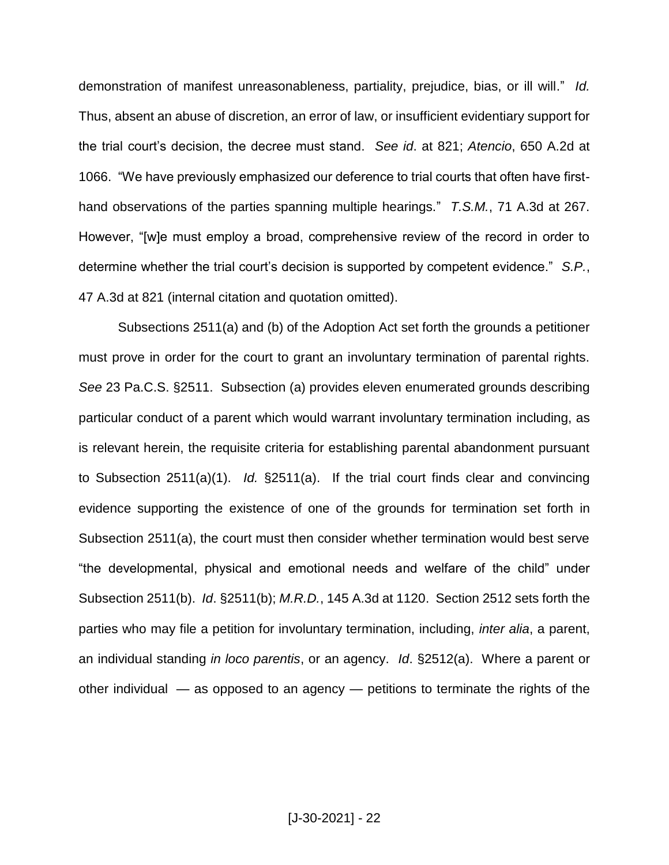demonstration of manifest unreasonableness, partiality, prejudice, bias, or ill will." *Id.* Thus, absent an abuse of discretion, an error of law, or insufficient evidentiary support for the trial court's decision, the decree must stand. *See id*. at 821; *Atencio*, 650 A.2d at 1066. "We have previously emphasized our deference to trial courts that often have firsthand observations of the parties spanning multiple hearings." *T.S.M.*, 71 A.3d at 267. However, "[w]e must employ a broad, comprehensive review of the record in order to determine whether the trial court's decision is supported by competent evidence." *S.P.*, 47 A.3d at 821 (internal citation and quotation omitted).

Subsections 2511(a) and (b) of the Adoption Act set forth the grounds a petitioner must prove in order for the court to grant an involuntary termination of parental rights. *See* 23 Pa.C.S. §2511. Subsection (a) provides eleven enumerated grounds describing particular conduct of a parent which would warrant involuntary termination including, as is relevant herein, the requisite criteria for establishing parental abandonment pursuant to Subsection 2511(a)(1). *Id.* §2511(a). If the trial court finds clear and convincing evidence supporting the existence of one of the grounds for termination set forth in Subsection 2511(a), the court must then consider whether termination would best serve "the developmental, physical and emotional needs and welfare of the child" under Subsection 2511(b). *Id*. §2511(b); *M.R.D.*, 145 A.3d at 1120. Section 2512 sets forth the parties who may file a petition for involuntary termination, including, *inter alia*, a parent, an individual standing *in loco parentis*, or an agency. *Id*. §2512(a). Where a parent or other individual — as opposed to an agency — petitions to terminate the rights of the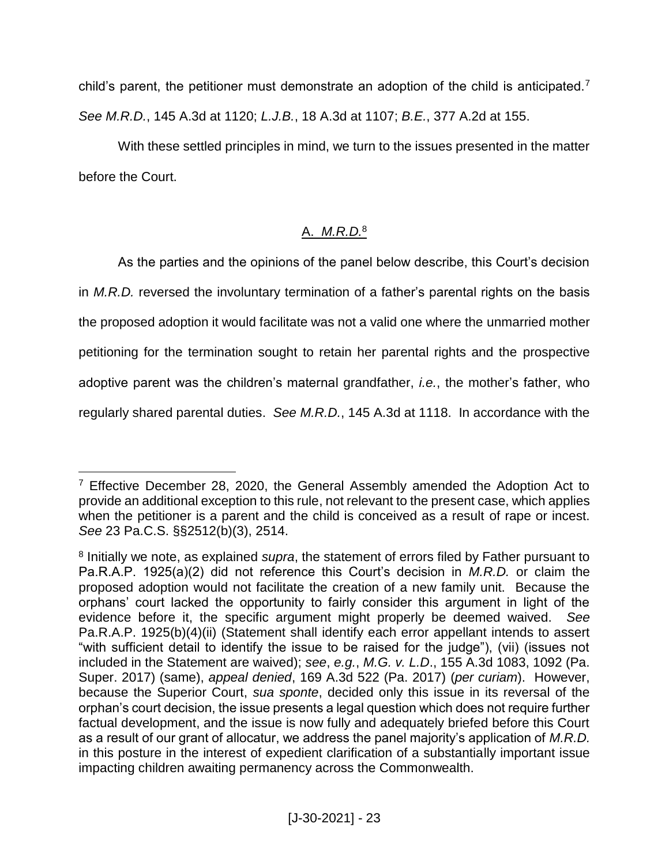child's parent, the petitioner must demonstrate an adoption of the child is anticipated.<sup>7</sup> *See M.R.D.*, 145 A.3d at 1120; *L.J.B.*, 18 A.3d at 1107; *B.E.*, 377 A.2d at 155.

With these settled principles in mind, we turn to the issues presented in the matter before the Court.

# A. *M.R.D.*<sup>8</sup>

As the parties and the opinions of the panel below describe, this Court's decision in *M.R.D.* reversed the involuntary termination of a father's parental rights on the basis the proposed adoption it would facilitate was not a valid one where the unmarried mother petitioning for the termination sought to retain her parental rights and the prospective adoptive parent was the children's maternal grandfather, *i.e.*, the mother's father, who regularly shared parental duties. *See M.R.D.*, 145 A.3d at 1118. In accordance with the

 $7$  Effective December 28, 2020, the General Assembly amended the Adoption Act to provide an additional exception to this rule, not relevant to the present case, which applies when the petitioner is a parent and the child is conceived as a result of rape or incest. *See* 23 Pa.C.S. §§2512(b)(3), 2514.

<sup>8</sup> Initially we note, as explained *supra*, the statement of errors filed by Father pursuant to Pa.R.A.P. 1925(a)(2) did not reference this Court's decision in *M.R.D.* or claim the proposed adoption would not facilitate the creation of a new family unit. Because the orphans' court lacked the opportunity to fairly consider this argument in light of the evidence before it, the specific argument might properly be deemed waived. *See* Pa.R.A.P. 1925(b)(4)(ii) (Statement shall identify each error appellant intends to assert "with sufficient detail to identify the issue to be raised for the judge"), (vii) (issues not included in the Statement are waived); *see*, *e.g.*, *M.G. v. L.D*., 155 A.3d 1083, 1092 (Pa. Super. 2017) (same), *appeal denied*, 169 A.3d 522 (Pa. 2017) (*per curiam*). However, because the Superior Court, *sua sponte*, decided only this issue in its reversal of the orphan's court decision, the issue presents a legal question which does not require further factual development, and the issue is now fully and adequately briefed before this Court as a result of our grant of allocatur, we address the panel majority's application of *M.R.D.* in this posture in the interest of expedient clarification of a substantially important issue impacting children awaiting permanency across the Commonwealth.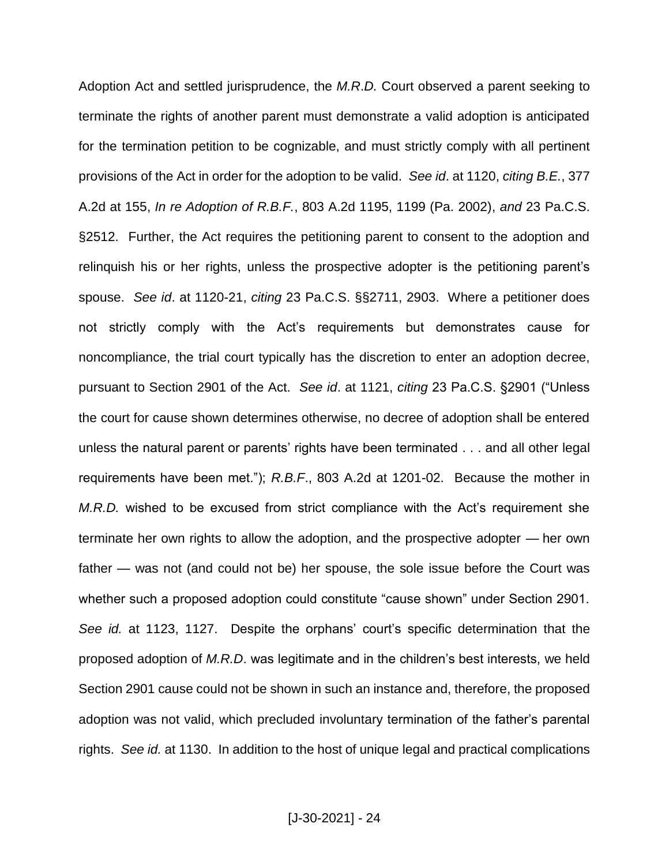Adoption Act and settled jurisprudence, the *M.R*.*D.* Court observed a parent seeking to terminate the rights of another parent must demonstrate a valid adoption is anticipated for the termination petition to be cognizable, and must strictly comply with all pertinent provisions of the Act in order for the adoption to be valid. *See id*. at 1120, *citing B.E.*, 377 A.2d at 155, *In re Adoption of R.B.F.*, 803 A.2d 1195, 1199 (Pa. 2002), *and* 23 Pa.C.S. §2512. Further, the Act requires the petitioning parent to consent to the adoption and relinquish his or her rights, unless the prospective adopter is the petitioning parent's spouse. *See id*. at 1120-21, *citing* 23 Pa.C.S. §§2711, 2903. Where a petitioner does not strictly comply with the Act's requirements but demonstrates cause for noncompliance, the trial court typically has the discretion to enter an adoption decree, pursuant to Section 2901 of the Act. *See id*. at 1121, *citing* 23 Pa.C.S. §2901 ("Unless the court for cause shown determines otherwise, no decree of adoption shall be entered unless the natural parent or parents' rights have been terminated . . . and all other legal requirements have been met."); *R.B.F*., 803 A.2d at 1201-02. Because the mother in *M.R.D.* wished to be excused from strict compliance with the Act's requirement she terminate her own rights to allow the adoption, and the prospective adopter — her own father — was not (and could not be) her spouse, the sole issue before the Court was whether such a proposed adoption could constitute "cause shown" under Section 2901. *See id.* at 1123, 1127. Despite the orphans' court's specific determination that the proposed adoption of *M.R.D*. was legitimate and in the children's best interests, we held Section 2901 cause could not be shown in such an instance and, therefore, the proposed adoption was not valid, which precluded involuntary termination of the father's parental rights. *See id.* at 1130. In addition to the host of unique legal and practical complications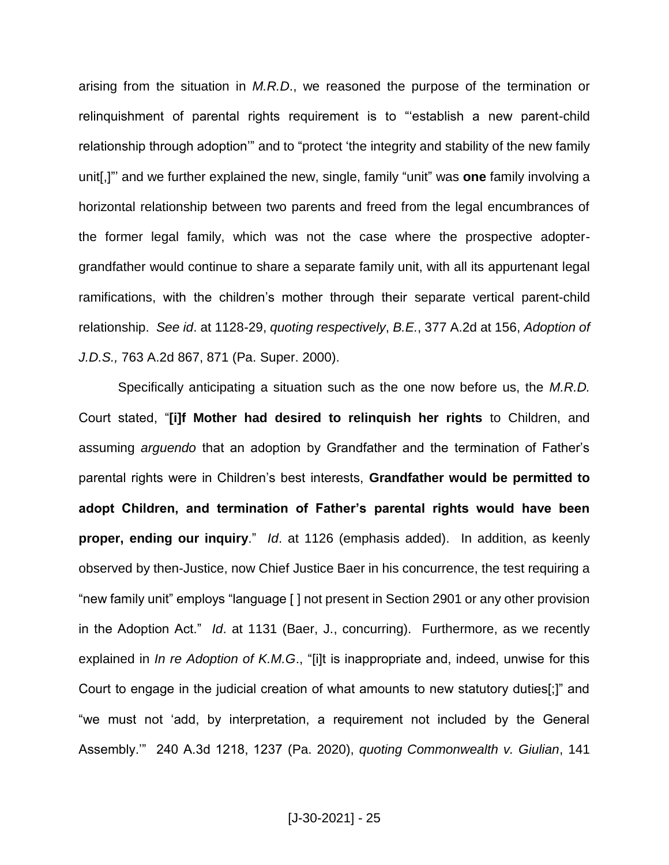arising from the situation in *M.R.D*., we reasoned the purpose of the termination or relinquishment of parental rights requirement is to "'establish a new parent-child relationship through adoption'" and to "protect 'the integrity and stability of the new family unit[,]"' and we further explained the new, single, family "unit" was **one** family involving a horizontal relationship between two parents and freed from the legal encumbrances of the former legal family, which was not the case where the prospective adoptergrandfather would continue to share a separate family unit, with all its appurtenant legal ramifications, with the children's mother through their separate vertical parent-child relationship. *See id*. at 1128-29, *quoting respectively*, *B.E.*, 377 A.2d at 156, *Adoption of J.D.S.,* 763 A.2d 867, 871 (Pa. Super. 2000).

Specifically anticipating a situation such as the one now before us, the *M.R.D.* Court stated, "**[i]f Mother had desired to relinquish her rights** to Children, and assuming *arguendo* that an adoption by Grandfather and the termination of Father's parental rights were in Children's best interests, **Grandfather would be permitted to adopt Children, and termination of Father's parental rights would have been proper, ending our inquiry**." *Id*. at 1126 (emphasis added). In addition, as keenly observed by then-Justice, now Chief Justice Baer in his concurrence, the test requiring a "new family unit" employs "language [ ] not present in Section 2901 or any other provision in the Adoption Act." *Id*. at 1131 (Baer, J., concurring). Furthermore, as we recently explained in *In re Adoption of K.M.G*., "[i]t is inappropriate and, indeed, unwise for this Court to engage in the judicial creation of what amounts to new statutory duties[;]" and "we must not 'add, by interpretation, a requirement not included by the General Assembly.'" 240 A.3d 1218, 1237 (Pa. 2020), *quoting Commonwealth v. Giulian*, 141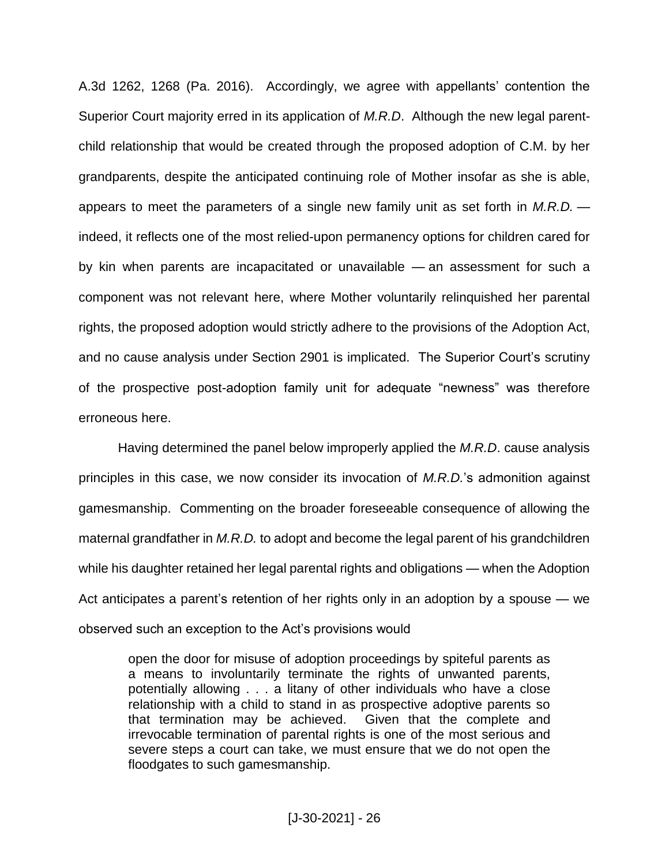A.3d 1262, 1268 (Pa. 2016). Accordingly, we agree with appellants' contention the Superior Court majority erred in its application of *M.R.D*. Although the new legal parentchild relationship that would be created through the proposed adoption of C.M. by her grandparents, despite the anticipated continuing role of Mother insofar as she is able, appears to meet the parameters of a single new family unit as set forth in *M.R.D.* indeed, it reflects one of the most relied-upon permanency options for children cared for by kin when parents are incapacitated or unavailable — an assessment for such a component was not relevant here, where Mother voluntarily relinquished her parental rights, the proposed adoption would strictly adhere to the provisions of the Adoption Act, and no cause analysis under Section 2901 is implicated. The Superior Court's scrutiny of the prospective post-adoption family unit for adequate "newness" was therefore erroneous here.

Having determined the panel below improperly applied the *M.R.D*. cause analysis principles in this case, we now consider its invocation of *M.R.D.*'s admonition against gamesmanship. Commenting on the broader foreseeable consequence of allowing the maternal grandfather in *M.R.D.* to adopt and become the legal parent of his grandchildren while his daughter retained her legal parental rights and obligations — when the Adoption Act anticipates a parent's retention of her rights only in an adoption by a spouse — we observed such an exception to the Act's provisions would

open the door for misuse of adoption proceedings by spiteful parents as a means to involuntarily terminate the rights of unwanted parents, potentially allowing . . . a litany of other individuals who have a close relationship with a child to stand in as prospective adoptive parents so that termination may be achieved. Given that the complete and irrevocable termination of parental rights is one of the most serious and severe steps a court can take, we must ensure that we do not open the floodgates to such gamesmanship.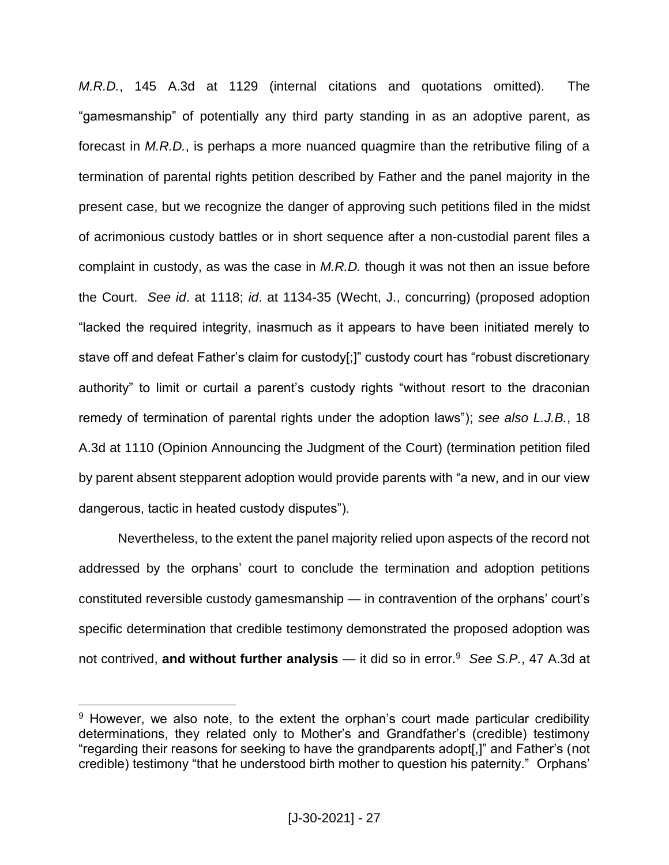*M.R.D.*, 145 A.3d at 1129 (internal citations and quotations omitted). The "gamesmanship" of potentially any third party standing in as an adoptive parent, as forecast in *M.R.D.*, is perhaps a more nuanced quagmire than the retributive filing of a termination of parental rights petition described by Father and the panel majority in the present case, but we recognize the danger of approving such petitions filed in the midst of acrimonious custody battles or in short sequence after a non-custodial parent files a complaint in custody, as was the case in *M.R.D.* though it was not then an issue before the Court. *See id*. at 1118; *id*. at 1134-35 (Wecht, J., concurring) (proposed adoption "lacked the required integrity, inasmuch as it appears to have been initiated merely to stave off and defeat Father's claim for custody[;]" custody court has "robust discretionary authority" to limit or curtail a parent's custody rights "without resort to the draconian remedy of termination of parental rights under the adoption laws"); *see also L.J.B.*, 18 A.3d at 1110 (Opinion Announcing the Judgment of the Court) (termination petition filed by parent absent stepparent adoption would provide parents with "a new, and in our view dangerous, tactic in heated custody disputes").

Nevertheless, to the extent the panel majority relied upon aspects of the record not addressed by the orphans' court to conclude the termination and adoption petitions constituted reversible custody gamesmanship — in contravention of the orphans' court's specific determination that credible testimony demonstrated the proposed adoption was not contrived, **and without further analysis** — it did so in error.<sup>9</sup> *See S.P.*, 47 A.3d at

<sup>&</sup>lt;sup>9</sup> However, we also note, to the extent the orphan's court made particular credibility determinations, they related only to Mother's and Grandfather's (credible) testimony "regarding their reasons for seeking to have the grandparents adopt[,]" and Father's (not credible) testimony "that he understood birth mother to question his paternity." Orphans'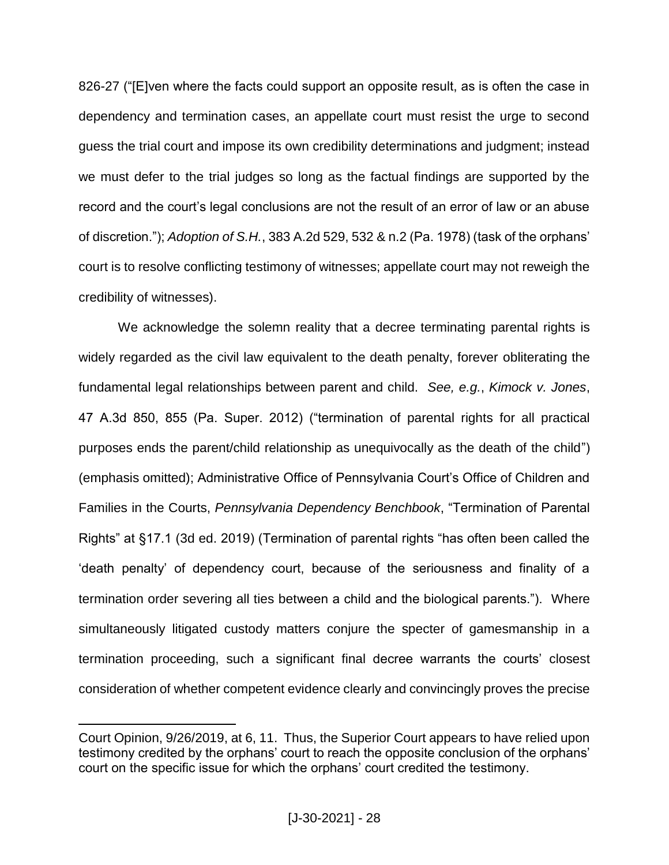826-27 ("[E]ven where the facts could support an opposite result, as is often the case in dependency and termination cases, an appellate court must resist the urge to second guess the trial court and impose its own credibility determinations and judgment; instead we must defer to the trial judges so long as the factual findings are supported by the record and the court's legal conclusions are not the result of an error of law or an abuse of discretion."); *Adoption of S.H.*, 383 A.2d 529, 532 & n.2 (Pa. 1978) (task of the orphans' court is to resolve conflicting testimony of witnesses; appellate court may not reweigh the credibility of witnesses).

We acknowledge the solemn reality that a decree terminating parental rights is widely regarded as the civil law equivalent to the death penalty, forever obliterating the fundamental legal relationships between parent and child. *See, e.g.*, *Kimock v. Jones*, 47 A.3d 850, 855 (Pa. Super. 2012) ("termination of parental rights for all practical purposes ends the parent/child relationship as unequivocally as the death of the child") (emphasis omitted); Administrative Office of Pennsylvania Court's Office of Children and Families in the Courts, *Pennsylvania Dependency Benchbook*, "Termination of Parental Rights" at §17.1 (3d ed. 2019) (Termination of parental rights "has often been called the 'death penalty' of dependency court, because of the seriousness and finality of a termination order severing all ties between a child and the biological parents."). Where simultaneously litigated custody matters conjure the specter of gamesmanship in a termination proceeding, such a significant final decree warrants the courts' closest consideration of whether competent evidence clearly and convincingly proves the precise

Court Opinion, 9/26/2019, at 6, 11. Thus, the Superior Court appears to have relied upon testimony credited by the orphans' court to reach the opposite conclusion of the orphans' court on the specific issue for which the orphans' court credited the testimony.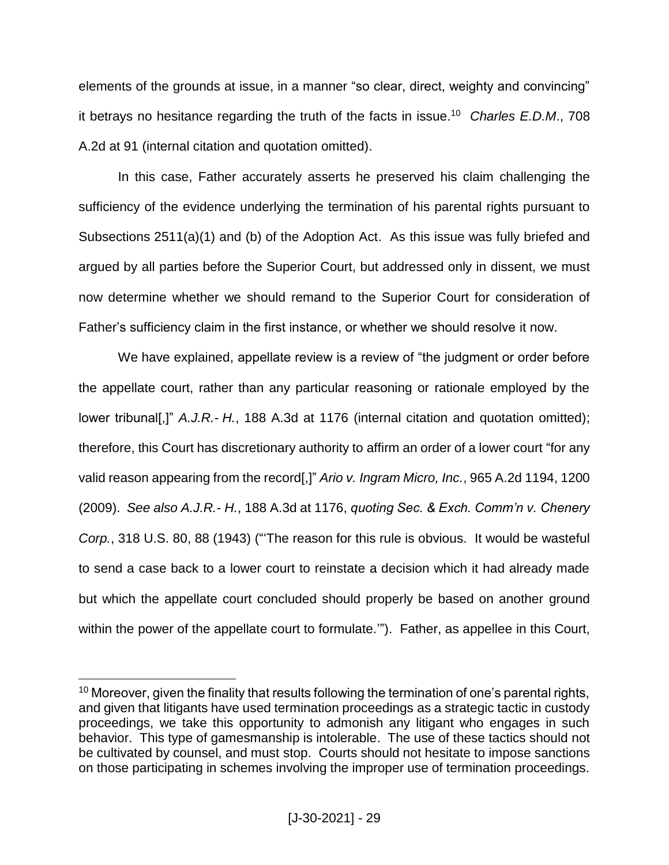elements of the grounds at issue, in a manner "so clear, direct, weighty and convincing" it betrays no hesitance regarding the truth of the facts in issue.<sup>10</sup> *Charles E.D.M*., 708 A.2d at 91 (internal citation and quotation omitted).

In this case, Father accurately asserts he preserved his claim challenging the sufficiency of the evidence underlying the termination of his parental rights pursuant to Subsections 2511(a)(1) and (b) of the Adoption Act. As this issue was fully briefed and argued by all parties before the Superior Court, but addressed only in dissent, we must now determine whether we should remand to the Superior Court for consideration of Father's sufficiency claim in the first instance, or whether we should resolve it now.

We have explained, appellate review is a review of "the judgment or order before the appellate court, rather than any particular reasoning or rationale employed by the lower tribunal[,]" *A.J.R.- H.*, 188 A.3d at 1176 (internal citation and quotation omitted); therefore, this Court has discretionary authority to affirm an order of a lower court "for any valid reason appearing from the record[,]" *Ario v. Ingram Micro, Inc.*, 965 A.2d 1194, 1200 (2009). *See also A.J.R.- H.*, 188 A.3d at 1176, *quoting Sec. & Exch. Comm'n v. Chenery Corp.*, 318 U.S. 80, 88 (1943) ("'The reason for this rule is obvious. It would be wasteful to send a case back to a lower court to reinstate a decision which it had already made but which the appellate court concluded should properly be based on another ground within the power of the appellate court to formulate.'"). Father, as appellee in this Court,

<sup>&</sup>lt;sup>10</sup> Moreover, given the finality that results following the termination of one's parental rights, and given that litigants have used termination proceedings as a strategic tactic in custody proceedings, we take this opportunity to admonish any litigant who engages in such behavior. This type of gamesmanship is intolerable. The use of these tactics should not be cultivated by counsel, and must stop. Courts should not hesitate to impose sanctions on those participating in schemes involving the improper use of termination proceedings.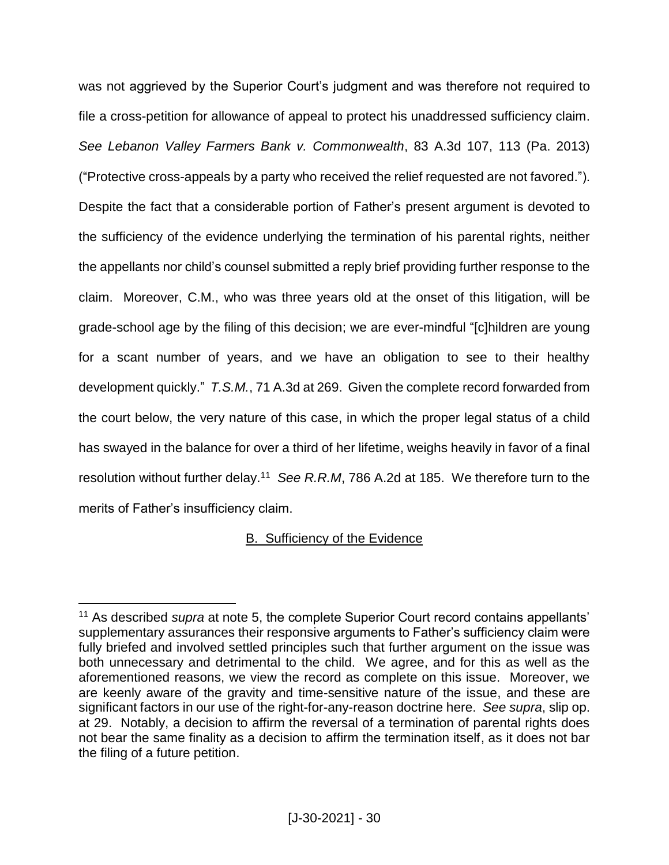was not aggrieved by the Superior Court's judgment and was therefore not required to file a cross-petition for allowance of appeal to protect his unaddressed sufficiency claim. *See Lebanon Valley Farmers Bank v. Commonwealth*, 83 A.3d 107, 113 (Pa. 2013) ("Protective cross-appeals by a party who received the relief requested are not favored."). Despite the fact that a considerable portion of Father's present argument is devoted to the sufficiency of the evidence underlying the termination of his parental rights, neither the appellants nor child's counsel submitted a reply brief providing further response to the claim. Moreover, C.M., who was three years old at the onset of this litigation, will be grade-school age by the filing of this decision; we are ever-mindful "[c]hildren are young for a scant number of years, and we have an obligation to see to their healthy development quickly." *T.S.M.*, 71 A.3d at 269. Given the complete record forwarded from the court below, the very nature of this case, in which the proper legal status of a child has swayed in the balance for over a third of her lifetime, weighs heavily in favor of a final resolution without further delay.<sup>11</sup> *See R.R.M*, 786 A.2d at 185. We therefore turn to the merits of Father's insufficiency claim.

# B. Sufficiency of the Evidence

<sup>&</sup>lt;sup>11</sup> As described *supra* at note 5, the complete Superior Court record contains appellants' supplementary assurances their responsive arguments to Father's sufficiency claim were fully briefed and involved settled principles such that further argument on the issue was both unnecessary and detrimental to the child. We agree, and for this as well as the aforementioned reasons, we view the record as complete on this issue. Moreover, we are keenly aware of the gravity and time-sensitive nature of the issue, and these are significant factors in our use of the right-for-any-reason doctrine here. *See supra*, slip op. at 29. Notably, a decision to affirm the reversal of a termination of parental rights does not bear the same finality as a decision to affirm the termination itself, as it does not bar the filing of a future petition.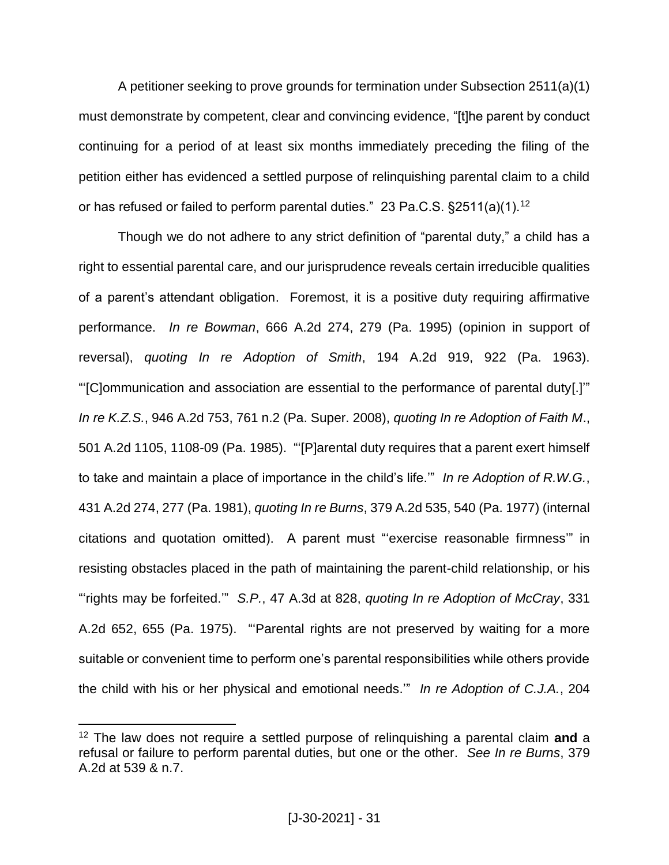A petitioner seeking to prove grounds for termination under Subsection 2511(a)(1) must demonstrate by competent, clear and convincing evidence, "[t]he parent by conduct continuing for a period of at least six months immediately preceding the filing of the petition either has evidenced a settled purpose of relinquishing parental claim to a child or has refused or failed to perform parental duties." 23 Pa.C.S.  $\S2511(a)(1)$ .<sup>12</sup>

Though we do not adhere to any strict definition of "parental duty," a child has a right to essential parental care, and our jurisprudence reveals certain irreducible qualities of a parent's attendant obligation. Foremost, it is a positive duty requiring affirmative performance. *In re Bowman*, 666 A.2d 274, 279 (Pa. 1995) (opinion in support of reversal), *quoting In re Adoption of Smith*, 194 A.2d 919, 922 (Pa. 1963). "'[C]ommunication and association are essential to the performance of parental duty[.]'" *In re K.Z.S.*, 946 A.2d 753, 761 n.2 (Pa. Super. 2008), *quoting In re Adoption of Faith M*., 501 A.2d 1105, 1108-09 (Pa. 1985). "'[P]arental duty requires that a parent exert himself to take and maintain a place of importance in the child's life.'" *In re Adoption of R.W.G.*, 431 A.2d 274, 277 (Pa. 1981), *quoting In re Burns*, 379 A.2d 535, 540 (Pa. 1977) (internal citations and quotation omitted). A parent must "'exercise reasonable firmness'" in resisting obstacles placed in the path of maintaining the parent-child relationship, or his "'rights may be forfeited.'" *S.P.*, 47 A.3d at 828, *quoting In re Adoption of McCray*, 331 A.2d 652, 655 (Pa. 1975). "'Parental rights are not preserved by waiting for a more suitable or convenient time to perform one's parental responsibilities while others provide the child with his or her physical and emotional needs.'" *In re Adoption of C.J.A.*, 204

<sup>12</sup> The law does not require a settled purpose of relinquishing a parental claim **and** a refusal or failure to perform parental duties, but one or the other. *See In re Burns*, 379 A.2d at 539 & n.7.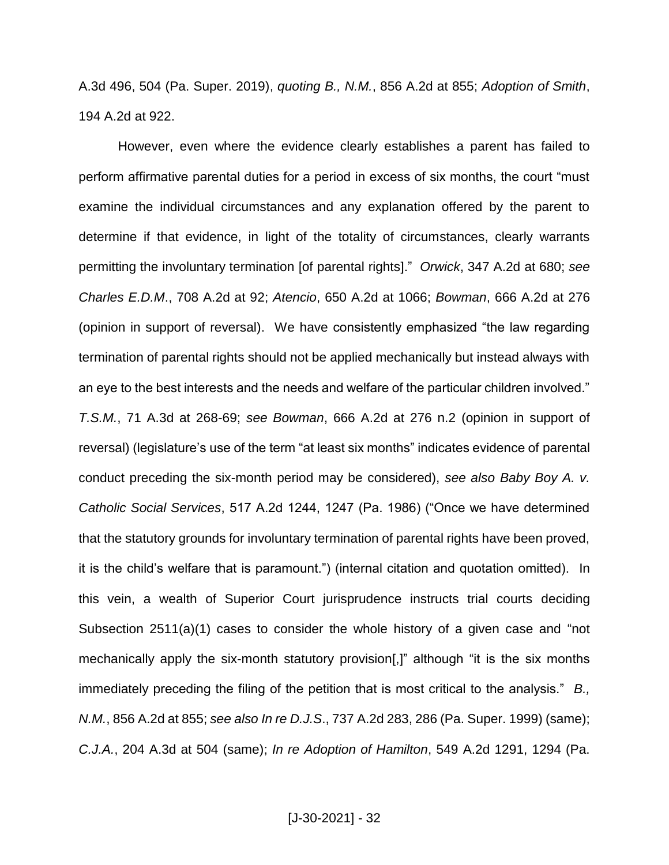A.3d 496, 504 (Pa. Super. 2019), *quoting B., N.M.*, 856 A.2d at 855; *Adoption of Smith*, 194 A.2d at 922.

However, even where the evidence clearly establishes a parent has failed to perform affirmative parental duties for a period in excess of six months, the court "must examine the individual circumstances and any explanation offered by the parent to determine if that evidence, in light of the totality of circumstances, clearly warrants permitting the involuntary termination [of parental rights]." *Orwick*, 347 A.2d at 680; *see Charles E.D.M*., 708 A.2d at 92; *Atencio*, 650 A.2d at 1066; *Bowman*, 666 A.2d at 276 (opinion in support of reversal). We have consistently emphasized "the law regarding termination of parental rights should not be applied mechanically but instead always with an eye to the best interests and the needs and welfare of the particular children involved." *T.S.M.*, 71 A.3d at 268-69; *see Bowman*, 666 A.2d at 276 n.2 (opinion in support of reversal) (legislature's use of the term "at least six months" indicates evidence of parental conduct preceding the six-month period may be considered), *see also Baby Boy A. v. Catholic Social Services*, 517 A.2d 1244, 1247 (Pa. 1986) ("Once we have determined that the statutory grounds for involuntary termination of parental rights have been proved, it is the child's welfare that is paramount.") (internal citation and quotation omitted). In this vein, a wealth of Superior Court jurisprudence instructs trial courts deciding Subsection 2511(a)(1) cases to consider the whole history of a given case and "not mechanically apply the six-month statutory provision[,]" although "it is the six months immediately preceding the filing of the petition that is most critical to the analysis." *B., N.M.*, 856 A.2d at 855; *see also In re D.J.S*., 737 A.2d 283, 286 (Pa. Super. 1999) (same); *C.J.A.*, 204 A.3d at 504 (same); *In re Adoption of Hamilton*, 549 A.2d 1291, 1294 (Pa.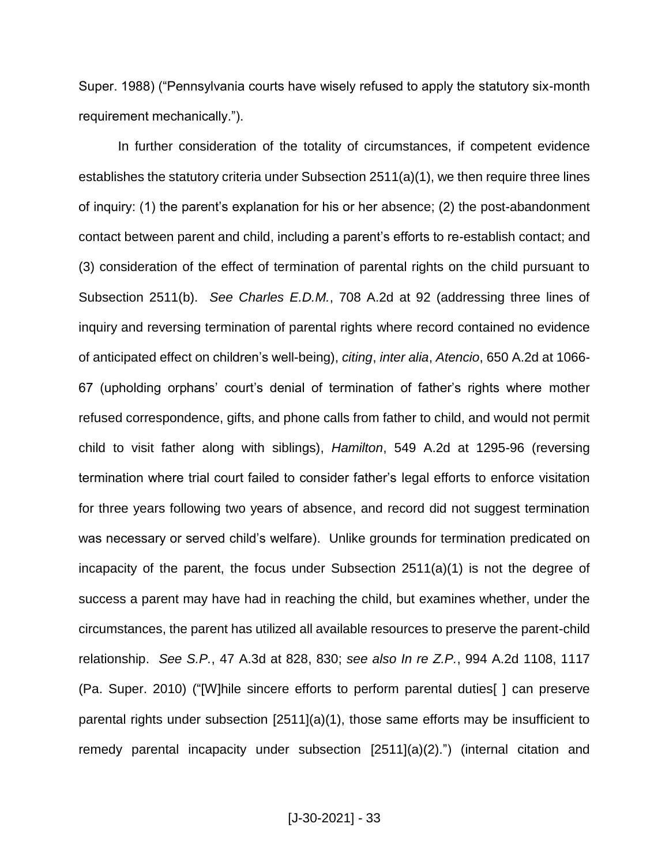Super. 1988) ("Pennsylvania courts have wisely refused to apply the statutory six-month requirement mechanically.").

In further consideration of the totality of circumstances, if competent evidence establishes the statutory criteria under Subsection 2511(a)(1), we then require three lines of inquiry: (1) the parent's explanation for his or her absence; (2) the post-abandonment contact between parent and child, including a parent's efforts to re-establish contact; and (3) consideration of the effect of termination of parental rights on the child pursuant to Subsection 2511(b). *See Charles E.D.M.*, 708 A.2d at 92 (addressing three lines of inquiry and reversing termination of parental rights where record contained no evidence of anticipated effect on children's well-being), *citing*, *inter alia*, *Atencio*, 650 A.2d at 1066- 67 (upholding orphans' court's denial of termination of father's rights where mother refused correspondence, gifts, and phone calls from father to child, and would not permit child to visit father along with siblings), *Hamilton*, 549 A.2d at 1295-96 (reversing termination where trial court failed to consider father's legal efforts to enforce visitation for three years following two years of absence, and record did not suggest termination was necessary or served child's welfare). Unlike grounds for termination predicated on incapacity of the parent, the focus under Subsection 2511(a)(1) is not the degree of success a parent may have had in reaching the child, but examines whether, under the circumstances, the parent has utilized all available resources to preserve the parent-child relationship. *See S.P.*, 47 A.3d at 828, 830; *see also In re Z.P.*, 994 A.2d 1108, 1117 (Pa. Super. 2010) ("[W]hile sincere efforts to perform parental duties[ ] can preserve parental rights under subsection [2511](a)(1), those same efforts may be insufficient to remedy parental incapacity under subsection [2511](a)(2).") (internal citation and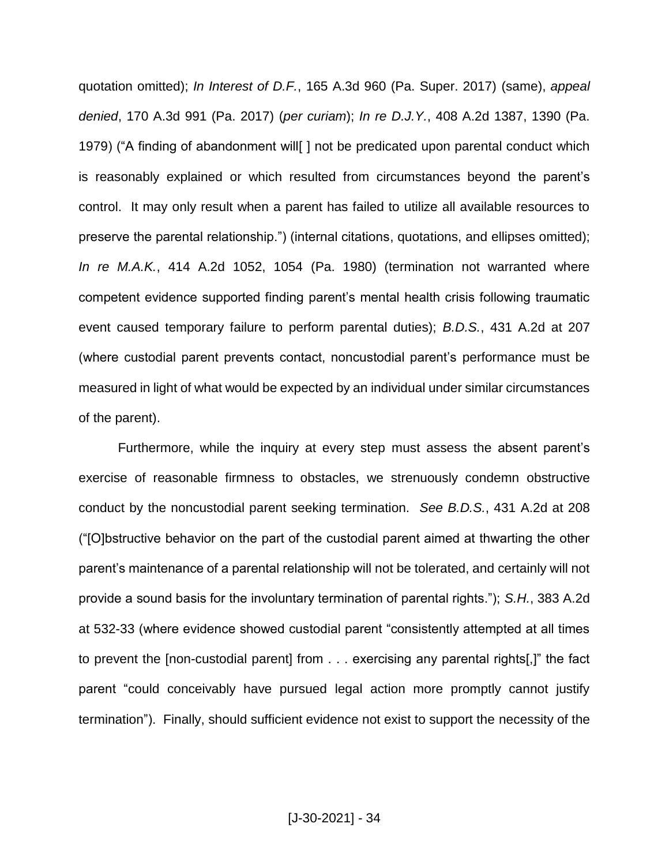quotation omitted); *In Interest of D.F.*, 165 A.3d 960 (Pa. Super. 2017) (same), *appeal denied*, 170 A.3d 991 (Pa. 2017) (*per curiam*); *In re D.J.Y.*, 408 A.2d 1387, 1390 (Pa. 1979) ("A finding of abandonment will[ ] not be predicated upon parental conduct which is reasonably explained or which resulted from circumstances beyond the parent's control. It may only result when a parent has failed to utilize all available resources to preserve the parental relationship.") (internal citations, quotations, and ellipses omitted); *In re M.A.K.*, 414 A.2d 1052, 1054 (Pa. 1980) (termination not warranted where competent evidence supported finding parent's mental health crisis following traumatic event caused temporary failure to perform parental duties); *B.D.S.*, 431 A.2d at 207 (where custodial parent prevents contact, noncustodial parent's performance must be measured in light of what would be expected by an individual under similar circumstances of the parent).

Furthermore, while the inquiry at every step must assess the absent parent's exercise of reasonable firmness to obstacles, we strenuously condemn obstructive conduct by the noncustodial parent seeking termination. *See B.D.S.*, 431 A.2d at 208 ("[O]bstructive behavior on the part of the custodial parent aimed at thwarting the other parent's maintenance of a parental relationship will not be tolerated, and certainly will not provide a sound basis for the involuntary termination of parental rights."); *S.H.*, 383 A.2d at 532-33 (where evidence showed custodial parent "consistently attempted at all times to prevent the [non-custodial parent] from . . . exercising any parental rights[,]" the fact parent "could conceivably have pursued legal action more promptly cannot justify termination"). Finally, should sufficient evidence not exist to support the necessity of the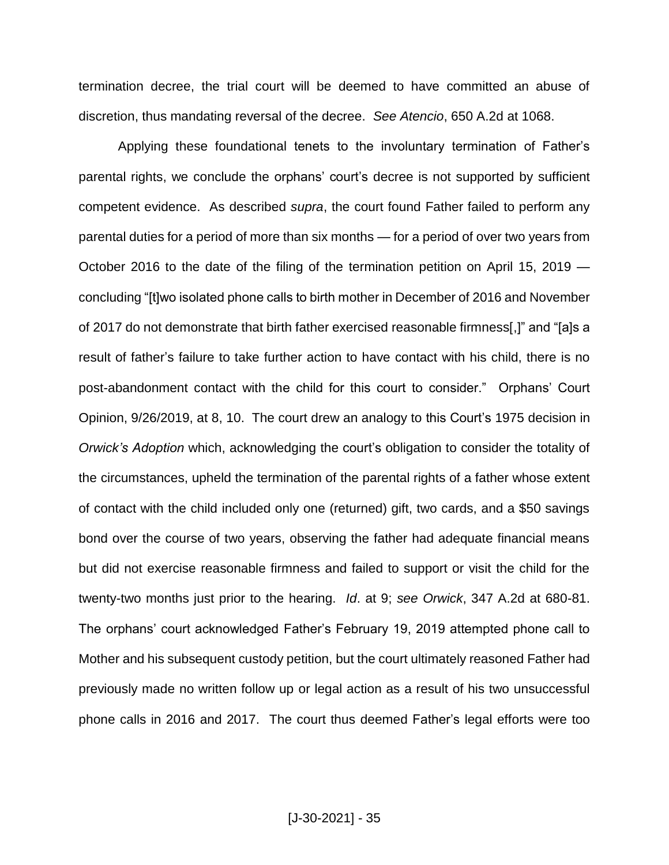termination decree, the trial court will be deemed to have committed an abuse of discretion, thus mandating reversal of the decree. *See Atencio*, 650 A.2d at 1068.

Applying these foundational tenets to the involuntary termination of Father's parental rights, we conclude the orphans' court's decree is not supported by sufficient competent evidence. As described *supra*, the court found Father failed to perform any parental duties for a period of more than six months — for a period of over two years from October 2016 to the date of the filing of the termination petition on April 15, 2019 concluding "[t]wo isolated phone calls to birth mother in December of 2016 and November of 2017 do not demonstrate that birth father exercised reasonable firmness[,]" and "[a]s a result of father's failure to take further action to have contact with his child, there is no post-abandonment contact with the child for this court to consider." Orphans' Court Opinion, 9/26/2019, at 8, 10. The court drew an analogy to this Court's 1975 decision in *Orwick's Adoption* which, acknowledging the court's obligation to consider the totality of the circumstances, upheld the termination of the parental rights of a father whose extent of contact with the child included only one (returned) gift, two cards, and a \$50 savings bond over the course of two years, observing the father had adequate financial means but did not exercise reasonable firmness and failed to support or visit the child for the twenty-two months just prior to the hearing. *Id*. at 9; *see Orwick*, 347 A.2d at 680-81. The orphans' court acknowledged Father's February 19, 2019 attempted phone call to Mother and his subsequent custody petition, but the court ultimately reasoned Father had previously made no written follow up or legal action as a result of his two unsuccessful phone calls in 2016 and 2017. The court thus deemed Father's legal efforts were too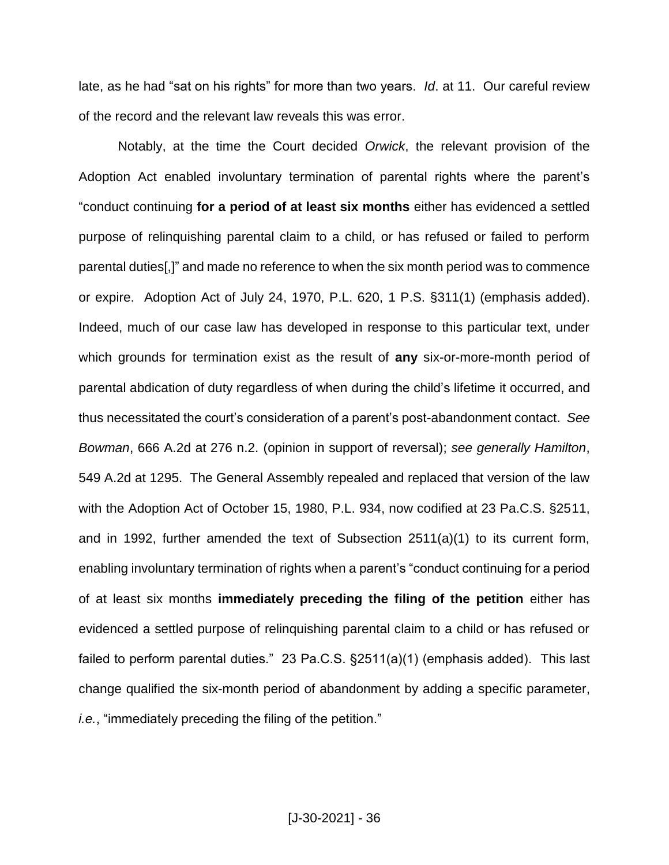late, as he had "sat on his rights" for more than two years. *Id*. at 11. Our careful review of the record and the relevant law reveals this was error.

Notably, at the time the Court decided *Orwick*, the relevant provision of the Adoption Act enabled involuntary termination of parental rights where the parent's "conduct continuing **for a period of at least six months** either has evidenced a settled purpose of relinquishing parental claim to a child, or has refused or failed to perform parental duties[,]" and made no reference to when the six month period was to commence or expire. Adoption Act of July 24, 1970, P.L. 620, 1 P.S. §311(1) (emphasis added). Indeed, much of our case law has developed in response to this particular text, under which grounds for termination exist as the result of **any** six-or-more-month period of parental abdication of duty regardless of when during the child's lifetime it occurred, and thus necessitated the court's consideration of a parent's post-abandonment contact. *See Bowman*, 666 A.2d at 276 n.2. (opinion in support of reversal); *see generally Hamilton*, 549 A.2d at 1295. The General Assembly repealed and replaced that version of the law with the Adoption Act of October 15, 1980, P.L. 934, now codified at 23 Pa.C.S. §2511, and in 1992, further amended the text of Subsection 2511(a)(1) to its current form, enabling involuntary termination of rights when a parent's "conduct continuing for a period of at least six months **immediately preceding the filing of the petition** either has evidenced a settled purpose of relinquishing parental claim to a child or has refused or failed to perform parental duties." 23 Pa.C.S. §2511(a)(1) (emphasis added). This last change qualified the six-month period of abandonment by adding a specific parameter, *i.e.*, "immediately preceding the filing of the petition."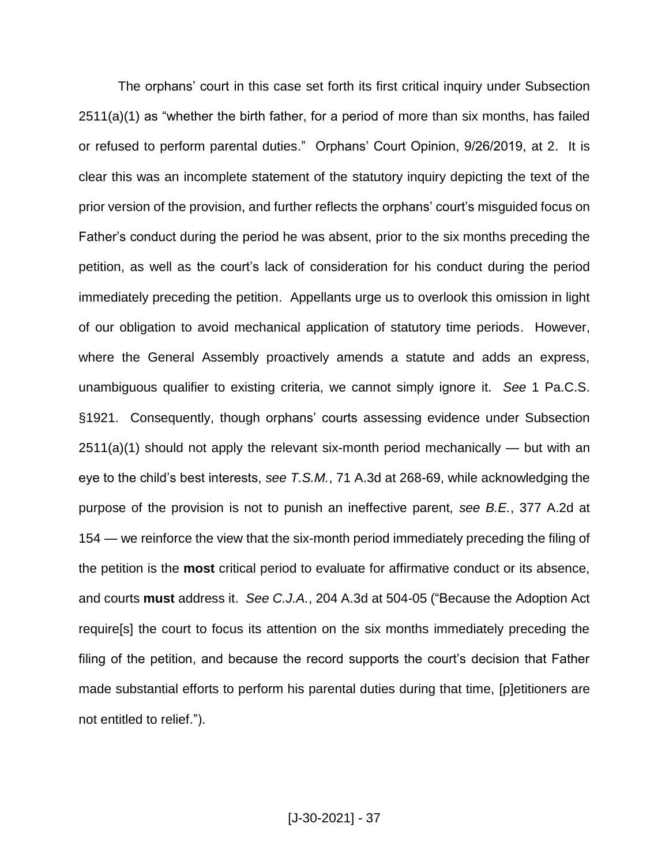The orphans' court in this case set forth its first critical inquiry under Subsection 2511(a)(1) as "whether the birth father, for a period of more than six months, has failed or refused to perform parental duties." Orphans' Court Opinion, 9/26/2019, at 2. It is clear this was an incomplete statement of the statutory inquiry depicting the text of the prior version of the provision, and further reflects the orphans' court's misguided focus on Father's conduct during the period he was absent, prior to the six months preceding the petition, as well as the court's lack of consideration for his conduct during the period immediately preceding the petition. Appellants urge us to overlook this omission in light of our obligation to avoid mechanical application of statutory time periods. However, where the General Assembly proactively amends a statute and adds an express, unambiguous qualifier to existing criteria, we cannot simply ignore it. *See* 1 Pa.C.S. §1921. Consequently, though orphans' courts assessing evidence under Subsection  $2511(a)(1)$  should not apply the relevant six-month period mechanically — but with an eye to the child's best interests, *see T.S.M.*, 71 A.3d at 268-69, while acknowledging the purpose of the provision is not to punish an ineffective parent, *see B.E.*, 377 A.2d at 154 — we reinforce the view that the six-month period immediately preceding the filing of the petition is the **most** critical period to evaluate for affirmative conduct or its absence, and courts **must** address it. *See C.J.A.*, 204 A.3d at 504-05 ("Because the Adoption Act require[s] the court to focus its attention on the six months immediately preceding the filing of the petition, and because the record supports the court's decision that Father made substantial efforts to perform his parental duties during that time, [p]etitioners are not entitled to relief.").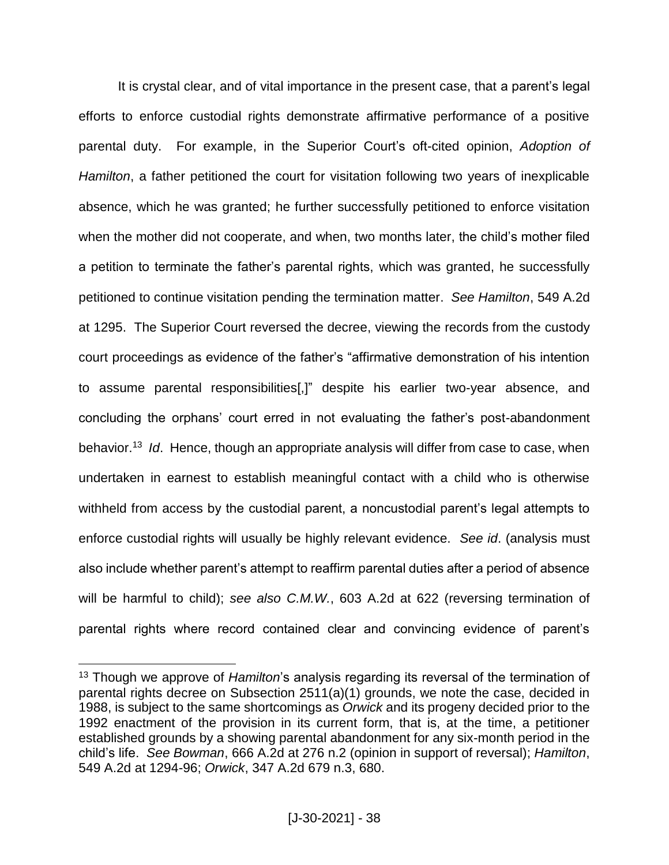It is crystal clear, and of vital importance in the present case, that a parent's legal efforts to enforce custodial rights demonstrate affirmative performance of a positive parental duty. For example, in the Superior Court's oft-cited opinion, *Adoption of Hamilton*, a father petitioned the court for visitation following two years of inexplicable absence, which he was granted; he further successfully petitioned to enforce visitation when the mother did not cooperate, and when, two months later, the child's mother filed a petition to terminate the father's parental rights, which was granted, he successfully petitioned to continue visitation pending the termination matter. *See Hamilton*, 549 A.2d at 1295. The Superior Court reversed the decree, viewing the records from the custody court proceedings as evidence of the father's "affirmative demonstration of his intention to assume parental responsibilities[,]" despite his earlier two-year absence, and concluding the orphans' court erred in not evaluating the father's post-abandonment behavior.<sup>13</sup> *Id*. Hence, though an appropriate analysis will differ from case to case, when undertaken in earnest to establish meaningful contact with a child who is otherwise withheld from access by the custodial parent, a noncustodial parent's legal attempts to enforce custodial rights will usually be highly relevant evidence. *See id*. (analysis must also include whether parent's attempt to reaffirm parental duties after a period of absence will be harmful to child); *see also C.M.W.*, 603 A.2d at 622 (reversing termination of parental rights where record contained clear and convincing evidence of parent's

<sup>13</sup> Though we approve of *Hamilton*'s analysis regarding its reversal of the termination of parental rights decree on Subsection 2511(a)(1) grounds, we note the case, decided in 1988, is subject to the same shortcomings as *Orwick* and its progeny decided prior to the 1992 enactment of the provision in its current form, that is, at the time, a petitioner established grounds by a showing parental abandonment for any six-month period in the child's life. *See Bowman*, 666 A.2d at 276 n.2 (opinion in support of reversal); *Hamilton*, 549 A.2d at 1294-96; *Orwick*, 347 A.2d 679 n.3, 680.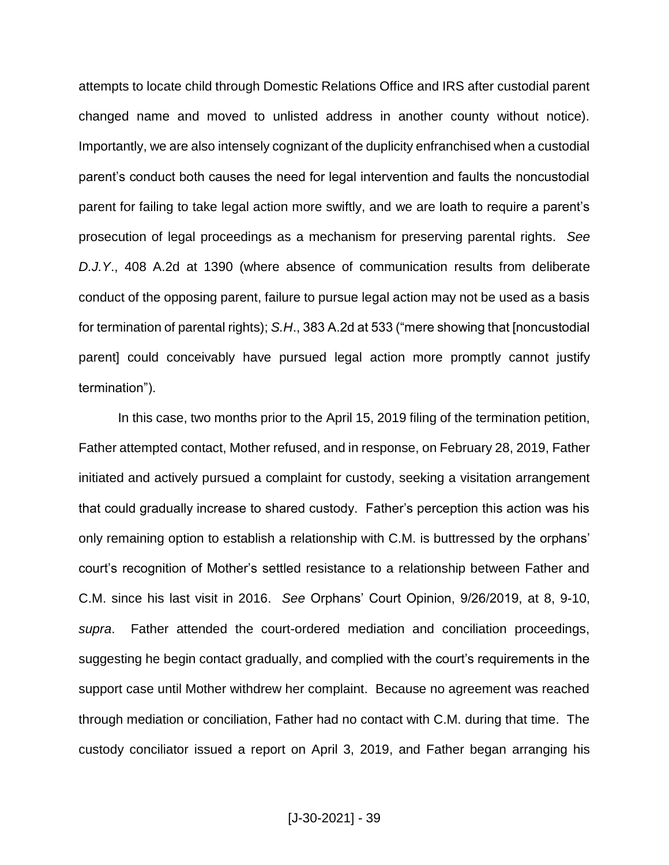attempts to locate child through Domestic Relations Office and IRS after custodial parent changed name and moved to unlisted address in another county without notice). Importantly, we are also intensely cognizant of the duplicity enfranchised when a custodial parent's conduct both causes the need for legal intervention and faults the noncustodial parent for failing to take legal action more swiftly, and we are loath to require a parent's prosecution of legal proceedings as a mechanism for preserving parental rights. *See D.J.Y*., 408 A.2d at 1390 (where absence of communication results from deliberate conduct of the opposing parent, failure to pursue legal action may not be used as a basis for termination of parental rights); *S.H*., 383 A.2d at 533 ("mere showing that [noncustodial parent] could conceivably have pursued legal action more promptly cannot justify termination").

In this case, two months prior to the April 15, 2019 filing of the termination petition, Father attempted contact, Mother refused, and in response, on February 28, 2019, Father initiated and actively pursued a complaint for custody, seeking a visitation arrangement that could gradually increase to shared custody. Father's perception this action was his only remaining option to establish a relationship with C.M. is buttressed by the orphans' court's recognition of Mother's settled resistance to a relationship between Father and C.M. since his last visit in 2016. *See* Orphans' Court Opinion, 9/26/2019, at 8, 9-10, *supra*. Father attended the court-ordered mediation and conciliation proceedings, suggesting he begin contact gradually, and complied with the court's requirements in the support case until Mother withdrew her complaint. Because no agreement was reached through mediation or conciliation, Father had no contact with C.M. during that time. The custody conciliator issued a report on April 3, 2019, and Father began arranging his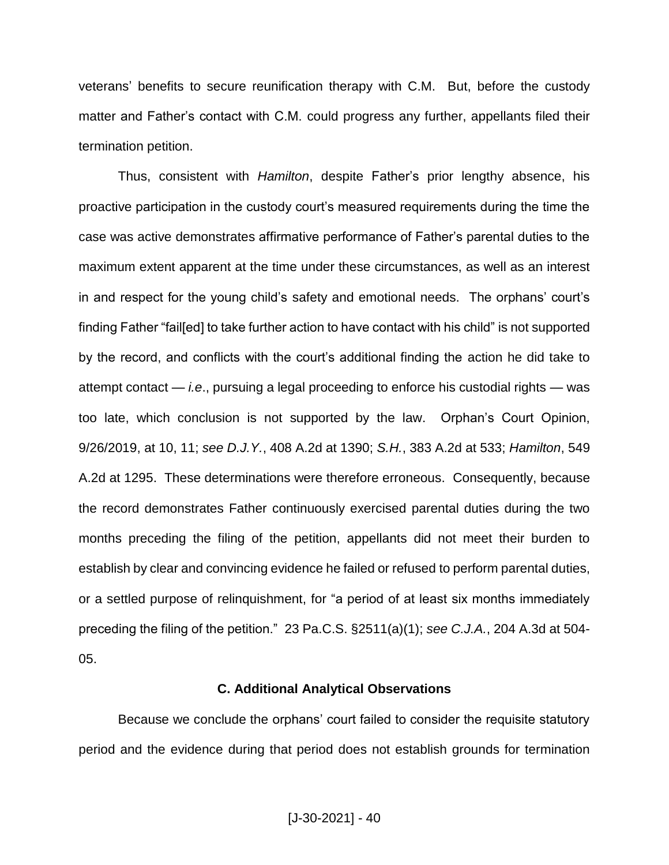veterans' benefits to secure reunification therapy with C.M. But, before the custody matter and Father's contact with C.M. could progress any further, appellants filed their termination petition.

Thus, consistent with *Hamilton*, despite Father's prior lengthy absence, his proactive participation in the custody court's measured requirements during the time the case was active demonstrates affirmative performance of Father's parental duties to the maximum extent apparent at the time under these circumstances, as well as an interest in and respect for the young child's safety and emotional needs. The orphans' court's finding Father "fail[ed] to take further action to have contact with his child" is not supported by the record, and conflicts with the court's additional finding the action he did take to attempt contact — *i.e*., pursuing a legal proceeding to enforce his custodial rights — was too late, which conclusion is not supported by the law. Orphan's Court Opinion, 9/26/2019, at 10, 11; *see D.J.Y.*, 408 A.2d at 1390; *S.H.*, 383 A.2d at 533; *Hamilton*, 549 A.2d at 1295. These determinations were therefore erroneous. Consequently, because the record demonstrates Father continuously exercised parental duties during the two months preceding the filing of the petition, appellants did not meet their burden to establish by clear and convincing evidence he failed or refused to perform parental duties, or a settled purpose of relinquishment, for "a period of at least six months immediately preceding the filing of the petition." 23 Pa.C.S. §2511(a)(1); *see C.J.A.*, 204 A.3d at 504- 05.

#### **C. Additional Analytical Observations**

Because we conclude the orphans' court failed to consider the requisite statutory period and the evidence during that period does not establish grounds for termination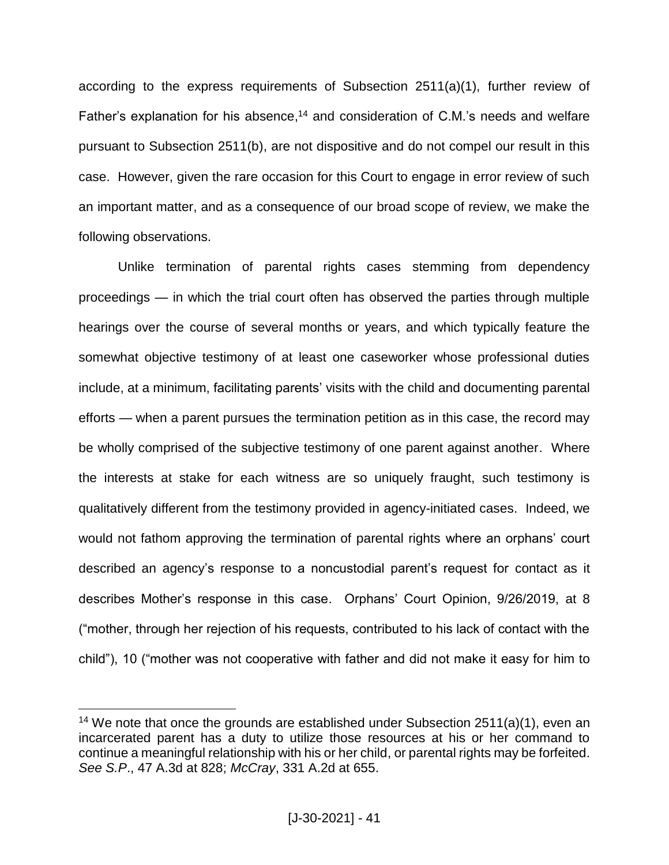according to the express requirements of Subsection 2511(a)(1), further review of Father's explanation for his absence,<sup>14</sup> and consideration of C.M.'s needs and welfare pursuant to Subsection 2511(b), are not dispositive and do not compel our result in this case. However, given the rare occasion for this Court to engage in error review of such an important matter, and as a consequence of our broad scope of review, we make the following observations.

Unlike termination of parental rights cases stemming from dependency proceedings — in which the trial court often has observed the parties through multiple hearings over the course of several months or years, and which typically feature the somewhat objective testimony of at least one caseworker whose professional duties include, at a minimum, facilitating parents' visits with the child and documenting parental efforts — when a parent pursues the termination petition as in this case, the record may be wholly comprised of the subjective testimony of one parent against another. Where the interests at stake for each witness are so uniquely fraught, such testimony is qualitatively different from the testimony provided in agency-initiated cases. Indeed, we would not fathom approving the termination of parental rights where an orphans' court described an agency's response to a noncustodial parent's request for contact as it describes Mother's response in this case. Orphans' Court Opinion, 9/26/2019, at 8 ("mother, through her rejection of his requests, contributed to his lack of contact with the child"), 10 ("mother was not cooperative with father and did not make it easy for him to

<sup>&</sup>lt;sup>14</sup> We note that once the grounds are established under Subsection  $2511(a)(1)$ , even an incarcerated parent has a duty to utilize those resources at his or her command to continue a meaningful relationship with his or her child, or parental rights may be forfeited. *See S.P*., 47 A.3d at 828; *McCray*, 331 A.2d at 655.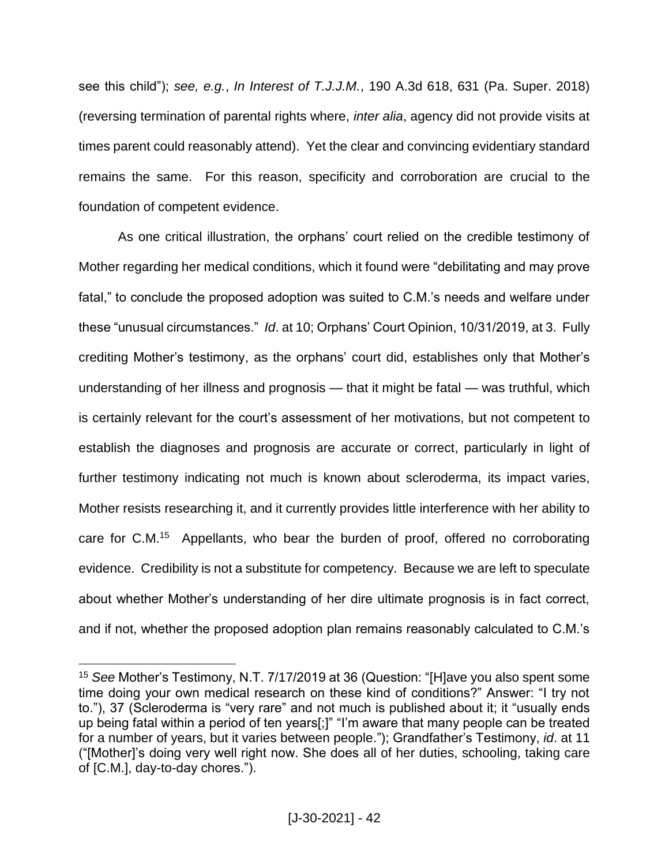see this child"); *see, e.g.*, *In Interest of T.J.J.M.*, 190 A.3d 618, 631 (Pa. Super. 2018) (reversing termination of parental rights where, *inter alia*, agency did not provide visits at times parent could reasonably attend). Yet the clear and convincing evidentiary standard remains the same. For this reason, specificity and corroboration are crucial to the foundation of competent evidence.

As one critical illustration, the orphans' court relied on the credible testimony of Mother regarding her medical conditions, which it found were "debilitating and may prove fatal," to conclude the proposed adoption was suited to C.M.'s needs and welfare under these "unusual circumstances." *Id*. at 10; Orphans' Court Opinion, 10/31/2019, at 3. Fully crediting Mother's testimony, as the orphans' court did, establishes only that Mother's understanding of her illness and prognosis — that it might be fatal — was truthful, which is certainly relevant for the court's assessment of her motivations, but not competent to establish the diagnoses and prognosis are accurate or correct, particularly in light of further testimony indicating not much is known about scleroderma, its impact varies, Mother resists researching it, and it currently provides little interference with her ability to care for C.M.<sup>15</sup> Appellants, who bear the burden of proof, offered no corroborating evidence. Credibility is not a substitute for competency. Because we are left to speculate about whether Mother's understanding of her dire ultimate prognosis is in fact correct, and if not, whether the proposed adoption plan remains reasonably calculated to C.M.'s

<sup>15</sup> *See* Mother's Testimony, N.T. 7/17/2019 at 36 (Question: "[H]ave you also spent some time doing your own medical research on these kind of conditions?" Answer: "I try not to."), 37 (Scleroderma is "very rare" and not much is published about it; it "usually ends up being fatal within a period of ten years[;]" "I'm aware that many people can be treated for a number of years, but it varies between people."); Grandfather's Testimony, *id*. at 11 ("[Mother]'s doing very well right now. She does all of her duties, schooling, taking care of [C.M.], day-to-day chores.").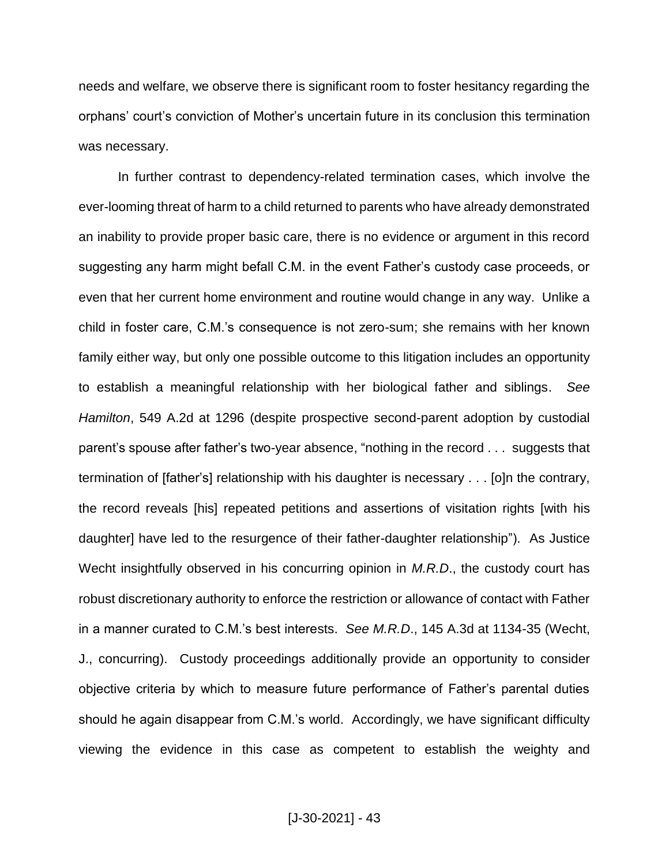needs and welfare, we observe there is significant room to foster hesitancy regarding the orphans' court's conviction of Mother's uncertain future in its conclusion this termination was necessary.

In further contrast to dependency-related termination cases, which involve the ever-looming threat of harm to a child returned to parents who have already demonstrated an inability to provide proper basic care, there is no evidence or argument in this record suggesting any harm might befall C.M. in the event Father's custody case proceeds, or even that her current home environment and routine would change in any way. Unlike a child in foster care, C.M.'s consequence is not zero-sum; she remains with her known family either way, but only one possible outcome to this litigation includes an opportunity to establish a meaningful relationship with her biological father and siblings. *See Hamilton*, 549 A.2d at 1296 (despite prospective second-parent adoption by custodial parent's spouse after father's two-year absence, "nothing in the record . . . suggests that termination of [father's] relationship with his daughter is necessary . . . [o]n the contrary, the record reveals [his] repeated petitions and assertions of visitation rights [with his daughter] have led to the resurgence of their father-daughter relationship"). As Justice Wecht insightfully observed in his concurring opinion in *M.R.D*., the custody court has robust discretionary authority to enforce the restriction or allowance of contact with Father in a manner curated to C.M.'s best interests. *See M.R.D*., 145 A.3d at 1134-35 (Wecht, J., concurring). Custody proceedings additionally provide an opportunity to consider objective criteria by which to measure future performance of Father's parental duties should he again disappear from C.M.'s world. Accordingly, we have significant difficulty viewing the evidence in this case as competent to establish the weighty and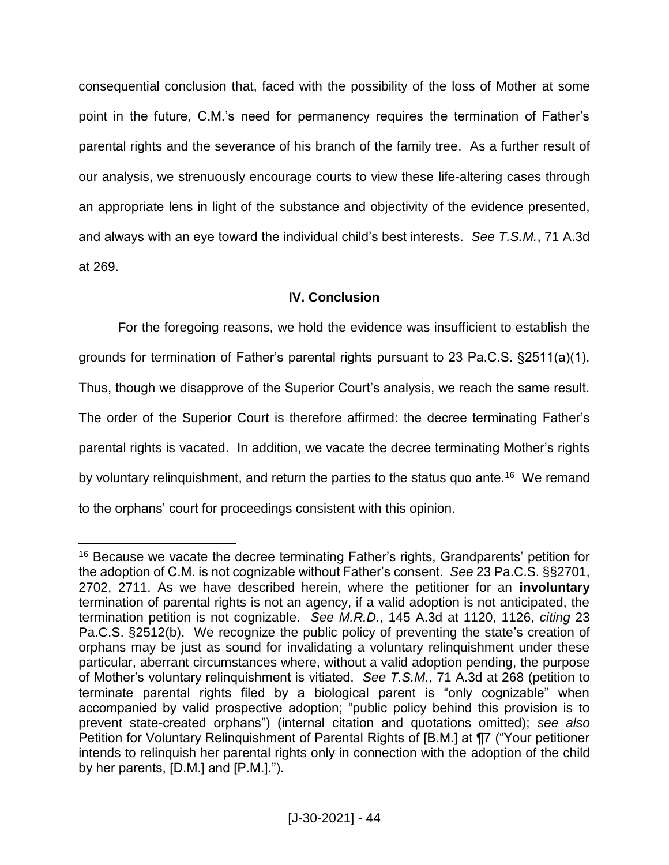consequential conclusion that, faced with the possibility of the loss of Mother at some point in the future, C.M.'s need for permanency requires the termination of Father's parental rights and the severance of his branch of the family tree. As a further result of our analysis, we strenuously encourage courts to view these life-altering cases through an appropriate lens in light of the substance and objectivity of the evidence presented, and always with an eye toward the individual child's best interests. *See T.S.M.*, 71 A.3d at 269.

# **IV. Conclusion**

For the foregoing reasons, we hold the evidence was insufficient to establish the grounds for termination of Father's parental rights pursuant to 23 Pa.C.S. §2511(a)(1). Thus, though we disapprove of the Superior Court's analysis, we reach the same result. The order of the Superior Court is therefore affirmed: the decree terminating Father's parental rights is vacated. In addition, we vacate the decree terminating Mother's rights by voluntary relinquishment, and return the parties to the status quo ante.<sup>16</sup> We remand to the orphans' court for proceedings consistent with this opinion.

<sup>&</sup>lt;sup>16</sup> Because we vacate the decree terminating Father's rights, Grandparents' petition for the adoption of C.M. is not cognizable without Father's consent. *See* 23 Pa.C.S. §§2701, 2702, 2711. As we have described herein, where the petitioner for an **involuntary** termination of parental rights is not an agency, if a valid adoption is not anticipated, the termination petition is not cognizable. *See M.R.D.*, 145 A.3d at 1120, 1126, *citing* 23 Pa.C.S. §2512(b). We recognize the public policy of preventing the state's creation of orphans may be just as sound for invalidating a voluntary relinquishment under these particular, aberrant circumstances where, without a valid adoption pending, the purpose of Mother's voluntary relinquishment is vitiated. *See T.S.M.*, 71 A.3d at 268 (petition to terminate parental rights filed by a biological parent is "only cognizable" when accompanied by valid prospective adoption; "public policy behind this provision is to prevent state-created orphans") (internal citation and quotations omitted); *see also* Petition for Voluntary Relinquishment of Parental Rights of [B.M.] at ¶7 ("Your petitioner intends to relinquish her parental rights only in connection with the adoption of the child by her parents, [D.M.] and [P.M.].").